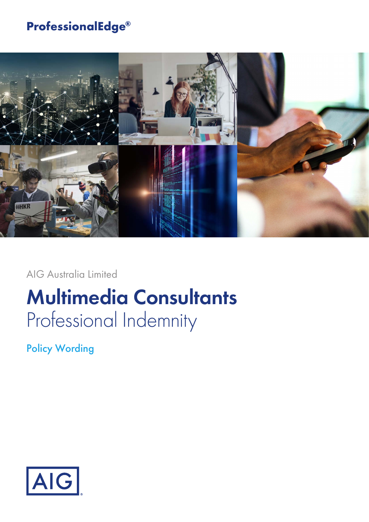## **ProfessionalEdge®**



AIG Australia Limited

# **Multimedia Consultants** Professional Indemnity

Policy Wording

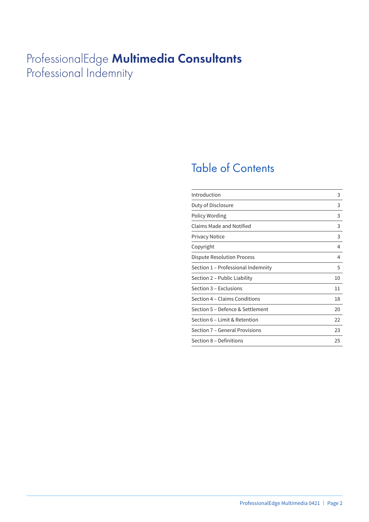## ProfessionalEdge **Multimedia Consultants** Professional Indemnity

## Table of Contents

| Introduction                       | 3  |
|------------------------------------|----|
| Duty of Disclosure                 | 3  |
| Policy Wording                     | 3  |
| Claims Made and Notified           | 3  |
| <b>Privacy Notice</b>              | 3  |
| Copyright                          | 4  |
| Dispute Resolution Process         | 4  |
| Section 1 – Professional Indemnity | 5  |
| Section 2 – Public Liability       | 10 |
| Section 3 – Exclusions             | 11 |
| Section 4 – Claims Conditions      | 18 |
| Section 5 – Defence & Settlement   | 20 |
| Section 6 - Limit & Retention      | 22 |
| Section 7 - General Provisions     | 23 |
| Section 8 - Definitions            | 25 |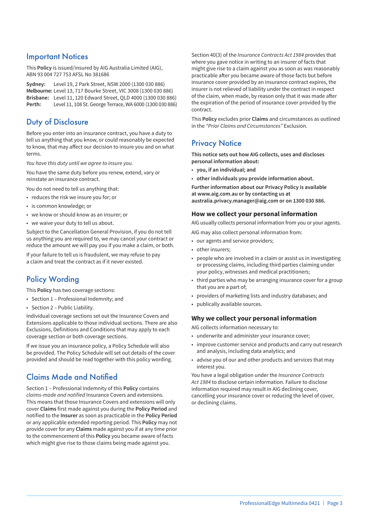### Important Notices

This **Policy** is issued/insured by AIG Australia Limited (AIG), ABN 93 004 727 753 AFSL No 381686

**Sydney:** Level 19, 2 Park Street, NSW 2000 (1300 030 886) **Melbourne:** Level 13, 717 Bourke Street, VIC 3008 (1300 030 886) **Brisbane:** Level 11, 120 Edward Street, QLD 4000 (1300 030 886) **Perth:** Level 11, 108 St. George Terrace, WA 6000 (1300 030 886)

## Duty of Disclosure

Before you enter into an insurance contract, you have a duty to tell us anything that you know, or could reasonably be expected to know, that may affect our decision to insure you and on what terms.

*You have this duty until we agree to insure you.*

You have the same duty before you renew, extend, vary or reinstate an insurance contract.

You do not need to tell us anything that:

- reduces the risk we insure you for; or
- is common knowledge; or
- we know or should know as an insurer; or
- we waive your duty to tell us about.

Subject to the Cancellation General Provision, if you do not tell us anything you are required to, we may cancel your contract or reduce the amount we will pay you if you make a claim, or both.

If your failure to tell us is fraudulent, we may refuse to pay a claim and treat the contract as if it never existed.

## Policy Wording

This **Policy** has two coverage sections:

- Section 1 Professional Indemnity; and
- Section 2 Public Liability.

Individual coverage sections set out the Insurance Covers and Extensions applicable to those individual sections. There are also Exclusions, Definitions and Conditions that may apply to each coverage section or both coverage sections.

If we issue you an insurance policy, a Policy Schedule will also be provided. The Policy Schedule will set out details of the cover provided and should be read together with this policy wording.

## Claims Made and Notified

Section 1 – Professional Indemnity of this **Policy** contains *claims-made and notified* Insurance Covers and extensions. This means that those Insurance Covers and extensions will only cover **Claims** first made against you during the **Policy Period** and notified to the **Insurer** as soon as practicable in the **Policy Period** or any applicable extended reporting period. This **Policy** may not provide cover for any **Claims** made against you if at any time prior to the commencement of this **Policy** you became aware of facts which might give rise to those claims being made against you.

Section 40(3) of the *Insurance Contracts Act 1984* provides that where you gave notice in writing to an insurer of facts that might give rise to a claim against you as soon as was reasonably practicable after you became aware of those facts but before insurance cover provided by an insurance contract expires, the insurer is not relieved of liability under the contract in respect of the claim, when made, by reason only that it was made after the expiration of the period of insurance cover provided by the contract.

This **Policy** excludes prior **Claims** and circumstances as outlined in the *"Prior Claims and Circumstances"* Exclusion.

## **Privacy Notice**

**This notice sets out how AIG collects, uses and discloses personal information about:**

- **you, if an individual; and**
- **other individuals you provide information about.**

**Further information about our Privacy Policy is available at www.aig.com.au or by contacting us at australia.privacy.manager@aig.com or on 1300 030 886.**

#### **How we collect your personal information**

AIG usually collects personal information from you or your agents.

- AIG may also collect personal information from:
- our agents and service providers;
- other insurers;
- people who are involved in a claim or assist us in investigating or processing claims, including third parties claiming under your policy, witnesses and medical practitioners;
- third parties who may be arranging insurance cover for a group that you are a part of;
- providers of marketing lists and industry databases; and
- publically available sources.

#### **Why we collect your personal information**

AIG collects information necessary to:

- underwrite and administer your insurance cover;
- improve customer service and products and carry out research and analysis, including data analytics; and
- advise you of our and other products and services that may interest you.

You have a legal obligation under the *Insurance Contracts Act 1984* to disclose certain information. Failure to disclose information required may result in AIG declining cover, cancelling your insurance cover or reducing the level of cover, or declining claims.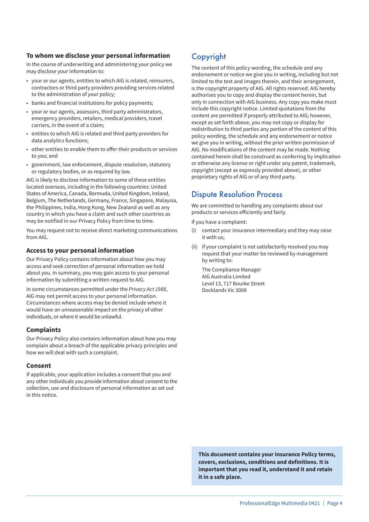#### **To whom we disclose your personal information**

In the course of underwriting and administering your policy we may disclose your information to:

- your or our agents, entities to which AIG is related, reinsurers, contractors or third party providers providing services related to the administration of your policy;
- banks and financial institutions for policy payments;
- your or our agents, assessors, third party administrators, emergency providers, retailers, medical providers, travel carriers, in the event of a claim;
- entities to which AIG is related and third party providers for data analytics functions;
- other entities to enable them to offer their products or services to you; and
- government, law enforcement, dispute resolution, statutory or regulatory bodies, or as required by law.

AIG is likely to disclose information to some of these entities located overseas, including in the following countries: United States of America, Canada, Bermuda, United Kingdom, Ireland, Belgium, The Netherlands, Germany, France, Singapore, Malaysia, the Philippines, India, Hong Kong, New Zealand as well as any country in which you have a claim and such other countries as may be notified in our Privacy Policy from time to time.

You may request not to receive direct marketing communications from AIG.

#### **Access to your personal information**

Our Privacy Policy contains information about how you may access and seek correction of personal information we hold about you. In summary, you may gain access to your personal information by submitting a written request to AIG.

In some circumstances permitted under the *Privacy Act 1988*, AIG may not permit access to your personal information. Circumstances where access may be denied include where it would have an unreasonable impact on the privacy of other individuals, or where it would be unlawful.

#### **Complaints**

Our Privacy Policy also contains information about how you may complain about a breach of the applicable privacy principles and how we will deal with such a complaint.

#### **Consent**

If applicable, your application includes a consent that you and any other individuals you provide information about consent to the collection, use and disclosure of personal information as set out in this notice.

## Copyright

The content of this policy wording, the schedule and any endorsement or notice we give you in writing, including but not limited to the text and images therein, and their arrangement, is the copyright property of AIG. All rights reserved. AIG hereby authorises you to copy and display the content herein, but only in connection with AIG business. Any copy you make must include this copyright notice. Limited quotations from the content are permitted if properly attributed to AIG; however, except as set forth above, you may not copy or display for redistribution to third parties any portion of the content of this policy wording, the schedule and any endorsement or notice we give you in writing, without the prior written permission of AIG. No modifications of the content may be made. Nothing contained herein shall be construed as conferring by implication or otherwise any license or right under any patent, trademark, copyright (except as expressly provided above), or other proprietary rights of AIG or of any third party.

## Dispute Resolution Process

We are committed to handling any complaints about our products or services efficiently and fairly.

If you have a complaint:

- (i) contact your insurance intermediary and they may raise it with us;
- (ii) if your complaint is not satisfactorily resolved you may request that your matter be reviewed by management by writing to:

The Compliance Manager AIG Australia Limited Level 13, 717 Bourke Street Docklands Vic 3008

**This document contains your Insurance Policy terms, covers, exclusions, conditions and definitions. It is important that you read it, understand it and retain it in a safe place.**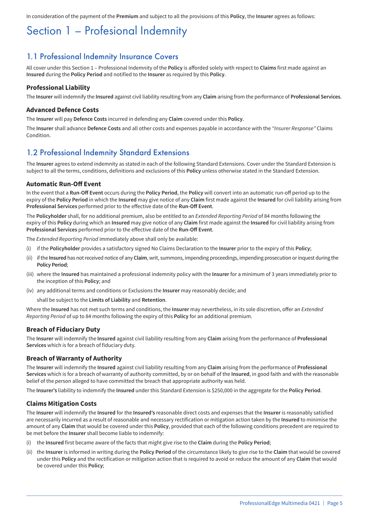In consideration of the payment of the **Premium** and subject to all the provisions of this **Policy**, the **Insurer** agrees as follows:

## Section 1 – Profesional Indemnity

### 1.1 Professional Indemnity Insurance Covers

All cover under this Section 1 – Professional Indemnity of the **Policy** is afforded solely with respect to **Claims** first made against an **Insured** during the **Policy Period** and notified to the **Insurer** as required by this **Policy**.

#### **Professional Liability**

The **Insurer** will indemnify the **Insured** against civil liability resulting from any **Claim** arising from the performance of **Professional Services**.

#### **Advanced Defence Costs**

The **Insurer** will pay **Defence Costs** incurred in defending any **Claim** covered under this **Policy**.

The **Insurer** shall advance **Defence Costs** and all other costs and expenses payable in accordance with the *"Insurer Response"* Claims **Condition** 

### 1.2 Professional Indemnity Standard Extensions

The **Insurer** agrees to extend indemnity as stated in each of the following Standard Extensions. Cover under the Standard Extension is subject to all the terms, conditions, definitions and exclusions of this **Policy** unless otherwise stated in the Standard Extension.

#### **Automatic Run-Off Event**

In the event that a **Run-Off Event** occurs during the **Policy Period**, the **Policy** will convert into an automatic run-off period up to the expiry of the **Policy Period** in which the **Insured** may give notice of any **Claim** first made against the **Insured** for civil liability arising from **Professional Services** performed prior to the effective date of the **Run-Off Event**.

The **Policyholder** shall, for no additional premium, also be entitled to an *Extended Reporting Period* of 84 months following the expiry of this **Policy** during which an **Insured** may give notice of any **Claim** first made against the **Insured** for civil liability arising from **Professional Services** performed prior to the effective date of the **Run-Off Event**.

The *Extended Reporting Period* immediately above shall only be available:

- (i) if the **Policyholder** provides a satisfactory signed No Claims Declaration to the **Insurer** prior to the expiry of this **Policy**;
- (ii) if the **Insured** has not received notice of any **Claim**, writ, summons, impending proceedings, impending prosecution or inquest during the **Policy Period**;
- (iii) where the **Insured** has maintained a professional indemnity policy with the **Insurer** for a minimum of 3 years immediately prior to the inception of this **Policy**; and
- (iv) any additional terms and conditions or Exclusions the **Insurer** may reasonably decide; and

shall be subject to the **Limits of Liability** and **Retention**.

Where the **Insured** has not met such terms and conditions, the **Insurer** may nevertheless, in its sole discretion, offer an *Extended Reporting Period* of up to 84 months following the expiry of this **Policy** for an additional premium.

#### **Breach of Fiduciary Duty**

The **Insurer** will indemnify the **Insured** against civil liability resulting from any **Claim** arising from the performance of **Professional Services** which is for a breach of fiduciary duty.

#### **Breach of Warranty of Authority**

The **Insurer** will indemnify the **Insured** against civil liability resulting from any **Claim** arising from the performance of **Professional Services** which is for a breach of warranty of authority committed, by or on behalf of the **Insured**, in good faith and with the reasonable belief of the person alleged to have committed the breach that appropriate authority was held.

The **Insurer's** liability to indemnify the **Insured** under this Standard Extension is \$250,000 in the aggregate for the **Policy Period**.

#### **Claims Mitigation Costs**

The **Insurer** will indemnify the **Insured** for the **Insured's** reasonable direct costs and expenses that the **Insurer** is reasonably satisfied are necessarily incurred as a result of reasonable and necessary rectification or mitigation action taken by the **Insured** to minimise the amount of any **Claim** that would be covered under this **Policy**, provided that each of the following conditions precedent are required to be met before the **Insurer** shall become liable to indemnify:

- (i) the **Insured** first became aware of the facts that might give rise to the **Claim** during the **Policy Period**;
- (ii) the **Insurer** is informed in writing during the **Policy Period** of the circumstance likely to give rise to the **Claim** that would be covered under this **Policy** and the rectification or mitigation action that is required to avoid or reduce the amount of any **Claim** that would be covered under this **Policy**;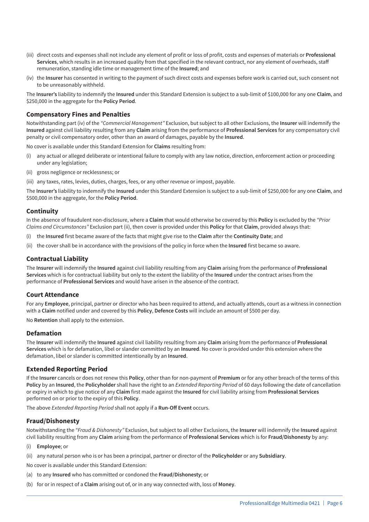- (iii) direct costs and expenses shall not include any element of profit or loss of profit, costs and expenses of materials or **Professional Services**, which results in an increased quality from that specified in the relevant contract, nor any element of overheads, staff remuneration, standing idle time or management time of the **Insured**; and
- (iv) the **Insurer** has consented in writing to the payment of such direct costs and expenses before work is carried out, such consent not to be unreasonably withheld.

The **Insurer's** liability to indemnify the **Insured** under this Standard Extension is subject to a sub-limit of \$100,000 for any one **Claim**, and \$250,000 in the aggregate for the **Policy Period**.

#### **Compensatory Fines and Penalties**

Notwithstanding part (iv) of the *"Commercial Management"* Exclusion, but subject to all other Exclusions, the **Insurer** will indemnify the **Insured** against civil liability resulting from any **Claim** arising from the performance of **Professional Services** for any compensatory civil penalty or civil compensatory order, other than an award of damages, payable by the **Insured**.

No cover is available under this Standard Extension for **Claims** resulting from:

- any actual or alleged deliberate or intentional failure to comply with any law notice, direction, enforcement action or proceeding under any legislation;
- (ii) gross negligence or recklessness; or
- (iii) any taxes, rates, levies, duties, charges, fees, or any other revenue or impost, payable.

The **Insurer's** liability to indemnify the **Insured** under this Standard Extension is subject to a sub-limit of \$250,000 for any one **Claim**, and \$500,000 in the aggregate, for the **Policy Period**.

#### **Continuity**

In the absence of fraudulent non-disclosure, where a **Claim** that would otherwise be covered by this **Policy** is excluded by the *"Prior Claims and Circumstances"* Exclusion part (ii), then cover is provided under this **Policy** for that **Claim**, provided always that:

- (i) the **Insured** first became aware of the facts that might give rise to the **Claim** after the **Continuity Date**; and
- (ii) the cover shall be in accordance with the provisions of the policy in force when the **Insured** first became so aware.

#### **Contractual Liability**

The **Insurer** will indemnify the **Insured** against civil liability resulting from any **Claim** arising from the performance of **Professional Services** which is for contractual liability but only to the extent the liability of the **Insured** under the contract arises from the performance of **Professional Services** and would have arisen in the absence of the contract.

#### **Court Attendance**

For any **Employee**, principal, partner or director who has been required to attend, and actually attends, court as a witness in connection with a **Claim** notified under and covered by this **Policy**, **Defence Costs** will include an amount of \$500 per day.

No **Retention** shall apply to the extension.

#### **Defamation**

The **Insurer** will indemnify the **Insured** against civil liability resulting from any **Claim** arising from the performance of **Professional Services** which is for defamation, libel or slander committed by an **Insured**. No cover is provided under this extension where the defamation, libel or slander is committed intentionally by an **Insured**.

#### **Extended Reporting Period**

If the **Insurer** cancels or does not renew this **Policy**, other than for non-payment of **Premium** or for any other breach of the terms of this **Policy** by an **Insured**, the **Policyholder** shall have the right to an *Extended Reporting Period* of 60 days following the date of cancellation or expiry in which to give notice of any **Claim** first made against the **Insured** for civil liability arising from **Professional Services** performed on or prior to the expiry of this **Policy**.

The above *Extended Reporting Period* shall not apply if a **Run-Off Event** occurs.

#### **Fraud/Dishonesty**

Notwithstanding the *"Fraud & Dishonesty"* Exclusion, but subject to all other Exclusions, the **Insurer** will indemnify the **Insured** against civil liability resulting from any **Claim** arising from the performance of **Professional Services** which is for **Fraud/Dishonesty** by any:

- (i) **Employee**; or
- (ii) any natural person who is or has been a principal, partner or director of the **Policyholder** or any **Subsidiary**.
- No cover is available under this Standard Extension:
- (a) to any **Insured** who has committed or condoned the **Fraud/Dishonesty**; or
- (b) for or in respect of a **Claim** arising out of, or in any way connected with, loss of **Money**.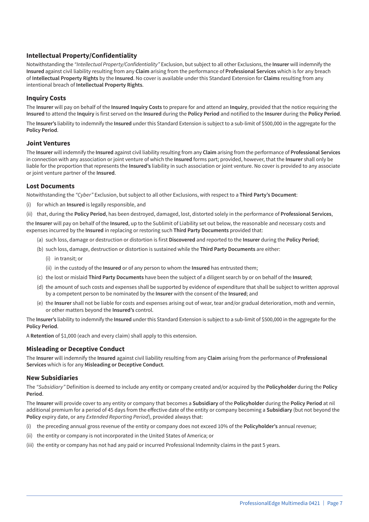#### **Intellectual Property/Confidentiality**

Notwithstanding the *"Intellectual Property/Confidentiality"* Exclusion, but subject to all other Exclusions, the **Insurer** will indemnify the **Insured** against civil liability resulting from any **Claim** arising from the performance of **Professional Services** which is for any breach of **Intellectual Property Rights** by the **Insured**. No cover is available under this Standard Extension for **Claims** resulting from any intentional breach of **Intellectual Property Rights**.

#### **Inquiry Costs**

The **Insurer** will pay on behalf of the **Insured Inquiry Costs** to prepare for and attend an **Inquiry**, provided that the notice requiring the **Insured** to attend the **Inquiry** is first served on the **Insured** during the **Policy Period** and notified to the **Insurer** during the **Policy Period**.

The **Insurer's** liability to indemnify the **Insured** under this Standard Extension is subject to a sub-limit of \$500,000 in the aggregate for the **Policy Period**.

#### **Joint Ventures**

The **Insurer** will indemnify the **Insured** against civil liability resulting from any **Claim** arising from the performance of **Professional Services** in connection with any association or joint venture of which the **Insured** forms part; provided, however, that the **Insurer** shall only be liable for the proportion that represents the **Insured's** liability in such association or joint venture. No cover is provided to any associate or joint venture partner of the **Insured**.

#### **Lost Documents**

Notwithstanding the *"Cyber"* Exclusion, but subject to all other Exclusions, with respect to a **Third Party's Document**:

- (i) for which an **Insured** is legally responsible, and
- (ii) that, during the **Policy Period**, has been destroyed, damaged, lost, distorted solely in the performance of **Professional Services**,

the **Insurer** will pay on behalf of the **Insured**, up to the Sublimit of Liability set out below, the reasonable and necessary costs and expenses incurred by the **Insured** in replacing or restoring such **Third Party Documents** provided that:

- (a) such loss, damage or destruction or distortion is first **Discovered** and reported to the **Insurer** during the **Policy Period**;
- (b) such loss, damage, destruction or distortion is sustained while the **Third Party Documents** are either:
	- (i) in transit; or
	- (ii) in the custody of the **Insured** or of any person to whom the **Insured** has entrusted them;
- (c) the lost or mislaid **Third Party Documents** have been the subject of a diligent search by or on behalf of the **Insured**;
- (d) the amount of such costs and expenses shall be supported by evidence of expenditure that shall be subject to written approval by a competent person to be nominated by the **Insurer** with the consent of the **Insured**; and
- (e) the **Insurer** shall not be liable for costs and expenses arising out of wear, tear and/or gradual deterioration, moth and vermin, or other matters beyond the **Insured's** control.

The **Insurer's** liability to indemnify the **Insured** under this Standard Extension is subject to a sub-limit of \$500,000 in the aggregate for the **Policy Period**.

A **Retention** of \$1,000 (each and every claim) shall apply to this extension.

#### **Misleading or Deceptive Conduct**

The **Insurer** will indemnify the **Insured** against civil liability resulting from any **Claim** arising from the performance of **Professional Services** which is for any **Misleading or Deceptive Conduct**.

#### **New Subsidiaries**

The *"Subsidiary"* Definition is deemed to include any entity or company created and/or acquired by the **Policyholder** during the **Policy Period**.

The **Insurer** will provide cover to any entity or company that becomes a **Subsidiary** of the **Policyholder** during the **Policy Period** at nil additional premium for a period of 45 days from the effective date of the entity or company becoming a **Subsidiary** (but not beyond the **Policy** expiry date, or any *Extended Reporting Period*), provided always that:

- (i) the preceding annual gross revenue of the entity or company does not exceed 10% of the **Policyholder's** annual revenue;
- (ii) the entity or company is not incorporated in the United States of America; or
- (iii) the entity or company has not had any paid or incurred Professional Indemnity claims in the past 5 years.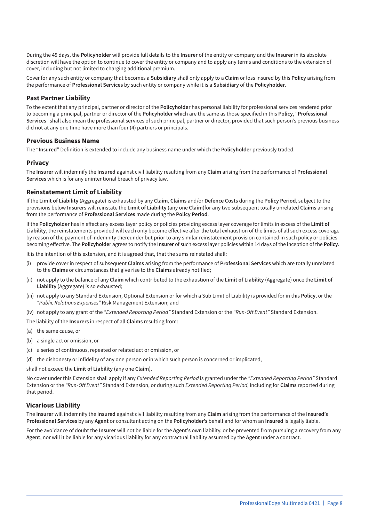During the 45 days, the **Policyholder** will provide full details to the **Insurer** of the entity or company and the **Insurer** in its absolute discretion will have the option to continue to cover the entity or company and to apply any terms and conditions to the extension of cover, including but not limited to charging additional premium.

Cover for any such entity or company that becomes a **Subsidiary** shall only apply to a **Claim** or loss insured by this **Policy** arising from the performance of **Professional Services** by such entity or company while it is a **Subsidiary** of the **Policyholder**.

#### **Past Partner Liability**

To the extent that any principal, partner or director of the **Policyholder** has personal liability for professional services rendered prior to becoming a principal, partner or director of the **Policyholder** which are the same as those specified in this **Policy**, "**Professional Services**" shall also mean the professional services of such principal, partner or director, provided that such person's previous business did not at any one time have more than four (4) partners or principals.

#### **Previous Business Name**

The "**Insured**" Definition is extended to include any business name under which the **Policyholder** previously traded.

#### **Privacy**

The **Insurer** will indemnify the **Insured** against civil liability resulting from any **Claim** arising from the performance of **Professional Services** which is for any unintentional breach of privacy law.

#### **Reinstatement Limit of Liability**

If the **Limit of Liability** (Aggregate) is exhausted by any **Claim**, **Claims** and/or **Defence Costs** during the **Policy Period**, subject to the provisions below **Insurers** will reinstate the **Limit of Liability** (any one **Claim**)for any two subsequent totally unrelated **Claims** arising from the performance of **Professional Services** made during the **Policy Period**.

If the **Policyholder** has in effect any excess layer policy or policies providing excess layer coverage for limits in excess of the **Limit of Liability**, the reinstatements provided will each only become effective after the total exhaustion of the limits of all such excess coverage by reason of the payment of indemnity thereunder but prior to any similar reinstatement provision contained in such policy or policies becoming effective. The **Policyholder** agrees to notify the **Insurer** of such excess layer policies within 14 days of the inception of the **Policy**.

It is the intention of this extension, and it is agreed that, that the sums reinstated shall:

- (i) provide cover in respect of subsequent **Claims** arising from the performance of **Professional Services** which are totally unrelated to the **Claims** or circumstances that give rise to the **Claims** already notified;
- (ii) not apply to the balance of any **Claim** which contributed to the exhaustion of the **Limit of Liability** (Aggregate) once the **Limit of Liability** (Aggregate) is so exhausted;
- (iii) not apply to any Standard Extension, Optional Extension or for which a Sub Limit of Liability is provided for in this **Policy**, or the *"Public Relations Expenses"* Risk Management Extension; and
- (iv) not apply to any grant of the *"Extended Reporting Period"* Standard Extension or the *"Run-Off Event"* Standard Extension.

The liability of the **Insurers** in respect of all **Claims** resulting from:

- (a) the same cause, or
- (b) a single act or omission, or
- (c) a series of continuous, repeated or related act or omission, or
- (d) the dishonesty or infidelity of any one person or in which such person is concerned or implicated,

#### shall not exceed the **Limit of Liability** (any one **Claim**).

No cover under this Extension shall apply if any *Extended Reporting Period* is granted under the *"Extended Reporting Period"* Standard Extension or the *"Run-Off Event"* Standard Extension, or during such *Extended Reporting Period*, including for **Claims** reported during that period.

#### **Vicarious Liability**

The **Insurer** will indemnify the **Insured** against civil liability resulting from any **Claim** arising from the performance of the **Insured's Professional Services** by any **Agent** or consultant acting on the **Policyholder's** behalf and for whom an **Insured** is legally liable.

For the avoidance of doubt the **Insurer** will not be liable for the **Agent's** own liability, or be prevented from pursuing a recovery from any **Agent**, nor will it be liable for any vicarious liability for any contractual liability assumed by the **Agent** under a contract.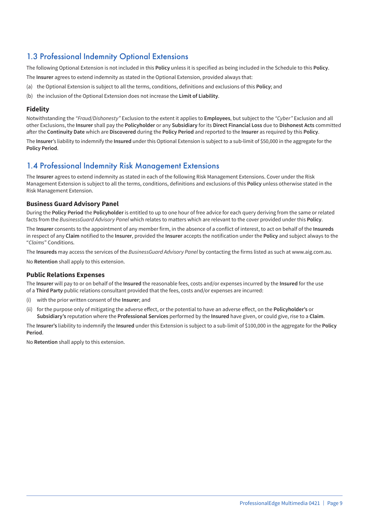### 1.3 Professional Indemnity Optional Extensions

The following Optional Extension is not included in this **Policy** unless it is specified as being included in the Schedule to this **Policy**.

The **Insurer** agrees to extend indemnity as stated in the Optional Extension, provided always that:

- (a) the Optional Extension is subject to all the terms, conditions, definitions and exclusions of this **Policy**; and
- (b) the inclusion of the Optional Extension does not increase the **Limit of Liability**.

#### **Fidelity**

Notwithstanding the *"Fraud/Dishonesty"* Exclusion to the extent it applies to **Employees**, but subject to the *"Cyber"* Exclusion and all other Exclusions, the **Insurer** shall pay the **Policyholder** or any **Subsidiary** for its **Direct Financial Loss** due to **Dishonest Acts** committed after the **Continuity Date** which are **Discovered** during the **Policy Period** and reported to the **Insurer** as required by this **Policy**.

The **Insurer**'s liability to indemnify the **Insured** under this Optional Extension is subject to a sub-limit of \$50,000 in the aggregate for the **Policy Period**.

### 1.4 Professional Indemnity Risk Management Extensions

The **Insurer** agrees to extend indemnity as stated in each of the following Risk Management Extensions. Cover under the Risk Management Extension is subject to all the terms, conditions, definitions and exclusions of this **Policy** unless otherwise stated in the Risk Management Extension.

#### **Business Guard Advisory Panel**

During the **Policy Period** the **Policyholder** is entitled to up to one hour of free advice for each query deriving from the same or related facts from the *BusinessGuard Advisory Panel* which relates to matters which are relevant to the cover provided under this **Policy**.

The **Insurer** consents to the appointment of any member firm, in the absence of a conflict of interest, to act on behalf of the **Insureds** in respect of any **Claim** notified to the **Insurer**, provided the **Insurer** accepts the notification under the **Policy** and subject always to the "*Claims*" Conditions.

The **Insureds** may access the services of the *BusinessGuard Advisory Panel* by contacting the firms listed as such at www.aig.com.au.

No **Retention** shall apply to this extension.

#### **Public Relations Expenses**

The **Insurer** will pay to or on behalf of the **Insured** the reasonable fees, costs and/or expenses incurred by the **Insured** for the use of a **Third Party** public relations consultant provided that the fees, costs and/or expenses are incurred:

- (i) with the prior written consent of the **Insurer**; and
- (ii) for the purpose only of mitigating the adverse effect, or the potential to have an adverse effect, on the **Policyholder's** or **Subsidiary's** reputation where the **Professional Services** performed by the **Insured** have given, or could give, rise to a **Claim**.

The **Insurer's** liability to indemnify the **Insured** under this Extension is subject to a sub-limit of \$100,000 in the aggregate for the **Policy Period**.

No **Retention** shall apply to this extension.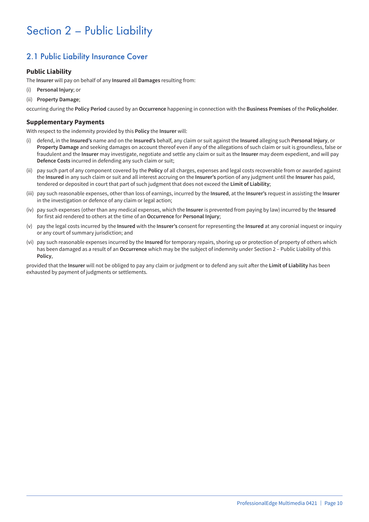## Section 2 – Public Liability

## 2.1 Public Liability Insurance Cover

#### **Public Liability**

The **Insurer** will pay on behalf of any **Insured** all **Damages** resulting from:

- (i) **Personal Injury**; or
- (ii) **Property Damage**;

occurring during the **Policy Period** caused by an **Occurrence** happening in connection with the **Business Premises** of the **Policyholder**.

#### **Supplementary Payments**

With respect to the indemnity provided by this **Policy** the **Insurer** will:

- (i) defend, in the **Insured's** name and on the **Insured's** behalf, any claim or suit against the **Insured** alleging such **Personal Injury**, or **Property Damage** and seeking damages on account thereof even if any of the allegations of such claim or suit is groundless, false or fraudulent and the **Insurer** may investigate, negotiate and settle any claim or suit as the **Insurer** may deem expedient, and will pay **Defence Costs** incurred in defending any such claim or suit;
- (ii) pay such part of any component covered by the **Policy** of all charges, expenses and legal costs recoverable from or awarded against the **Insured** in any such claim or suit and all interest accruing on the **Insurer's** portion of any judgment until the **Insurer** has paid, tendered or deposited in court that part of such judgment that does not exceed the **Limit of Liability**;
- (iii) pay such reasonable expenses, other than loss of earnings, incurred by the **Insured**, at the **Insurer's** request in assisting the **Insurer** in the investigation or defence of any claim or legal action;
- (iv) pay such expenses (other than any medical expenses, which the **Insurer** is prevented from paying by law) incurred by the **Insured** for first aid rendered to others at the time of an **Occurrence** for **Personal Injury**;
- (v) pay the legal costs incurred by the **Insured** with the **Insurer's** consent for representing the **Insured** at any coronial inquest or inquiry or any court of summary jurisdiction; and
- (vi) pay such reasonable expenses incurred by the **Insured** for temporary repairs, shoring up or protection of property of others which has been damaged as a result of an **Occurrence** which may be the subject of indemnity under Section 2 – Public Liability of this **Policy**,

provided that the **Insurer** will not be obliged to pay any claim or judgment or to defend any suit after the **Limit of Liability** has been exhausted by payment of judgments or settlements.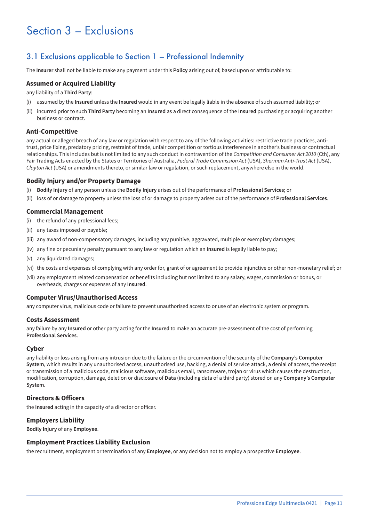## Section 3 – Exclusions

## 3.1 Exclusions applicable to Section 1 – Professional Indemnity

The **Insurer** shall not be liable to make any payment under this **Policy** arising out of, based upon or attributable to:

#### **Assumed or Acquired Liability**

any liability of a **Third Party**:

- (i) assumed by the **Insured** unless the **Insured** would in any event be legally liable in the absence of such assumed liability; or
- (ii) incurred prior to such **Third Party** becoming an **Insured** as a direct consequence of the **Insured** purchasing or acquiring another business or contract.

#### **Anti-Competitive**

any actual or alleged breach of any law or regulation with respect to any of the following activities: restrictive trade practices, antitrust, price fixing, predatory pricing, restraint of trade, unfair competition or tortious interference in another's business or contractual relationships. This includes but is not limited to any such conduct in contravention of the *Competition and Consumer Act 2010* (Cth), any Fair Trading Acts enacted by the States or Territories of Australia, *Federal Trade Commission Act* (USA), *Sherman Anti-Trust Act* (USA), *Clayton Act* (USA) or amendments thereto, or similar law or regulation, or such replacement, anywhere else in the world.

#### **Bodily Injury and/or Property Damage**

- (i) **Bodily Injury** of any person unless the **Bodily Injury** arises out of the performance of **Professional Services**; or
- (ii) loss of or damage to property unless the loss of or damage to property arises out of the performance of **Professional Services**.

#### **Commercial Management**

- (i) the refund of any professional fees;
- (ii) any taxes imposed or payable;
- (iii) any award of non-compensatory damages, including any punitive, aggravated, multiple or exemplary damages;
- (iv) any fine or pecuniary penalty pursuant to any law or regulation which an **Insured** is legally liable to pay;
- (v) any liquidated damages;
- (vi) the costs and expenses of complying with any order for, grant of or agreement to provide injunctive or other non-monetary relief; or
- (vii) any employment related compensation or benefits including but not limited to any salary, wages, commission or bonus, or overheads, charges or expenses of any **Insured**.

#### **Computer Virus/Unauthorised Access**

any computer virus, malicious code or failure to prevent unauthorised access to or use of an electronic system or program.

#### **Costs Assessment**

any failure by any **Insured** or other party acting for the **Insured** to make an accurate pre-assessment of the cost of performing **Professional Services**.

#### **Cyber**

any liability or loss arising from any intrusion due to the failure or the circumvention of the security of the **Company's Computer System**, which results in any unauthorised access, unauthorised use, hacking, a denial of service attack, a denial of access, the receipt or transmission of a malicious code, malicious software, malicious email, ransomware, trojan or virus which causes the destruction, modification, corruption, damage, deletion or disclosure of **Data** (including data of a third party) stored on any **Company's Computer System**.

#### **Directors & Officers**

the **Insured** acting in the capacity of a director or officer.

#### **Employers Liability**

**Bodily Injury** of any **Employee**.

#### **Employment Practices Liability Exclusion**

the recruitment, employment or termination of any **Employee**, or any decision not to employ a prospective **Employee**.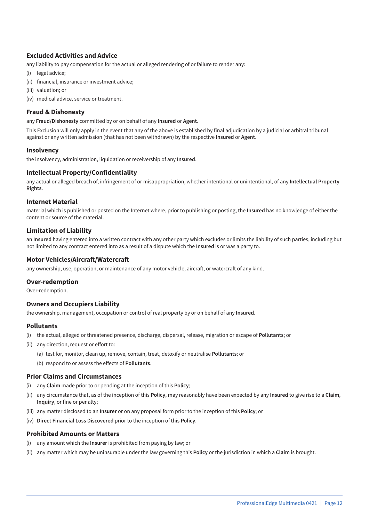#### **Excluded Activities and Advice**

any liability to pay compensation for the actual or alleged rendering of or failure to render any:

- (i) legal advice;
- (ii) financial, insurance or investment advice;
- (iii) valuation; or
- (iv) medical advice, service or treatment.

#### **Fraud & Dishonesty**

any **Fraud/Dishonesty** committed by or on behalf of any **Insured** or **Agent**.

This Exclusion will only apply in the event that any of the above is established by final adjudication by a judicial or arbitral tribunal against or any written admission (that has not been withdrawn) by the respective **Insured** or **Agent**.

#### **Insolvency**

the insolvency, administration, liquidation or receivership of any **Insured**.

#### **Intellectual Property/Confidentiality**

any actual or alleged breach of, infringement of or misappropriation, whether intentional or unintentional, of any **Intellectual Property Rights**.

#### **Internet Material**

material which is published or posted on the Internet where, prior to publishing or posting, the **Insured** has no knowledge of either the content or source of the material.

#### **Limitation of Liability**

an **Insured** having entered into a written contract with any other party which excludes or limits the liability of such parties, including but not limited to any contract entered into as a result of a dispute which the **Insured** is or was a party to.

#### **Motor Vehicles/Aircraft/Watercraft**

any ownership, use, operation, or maintenance of any motor vehicle, aircraft, or watercraft of any kind.

#### **Over-redemption**

Over-redemption.

#### **Owners and Occupiers Liability**

the ownership, management, occupation or control of real property by or on behalf of any **Insured**.

#### **Pollutants**

- (i) the actual, alleged or threatened presence, discharge, dispersal, release, migration or escape of **Pollutants**; or
- (ii) any direction, request or effort to:
	- (a) test for, monitor, clean up, remove, contain, treat, detoxify or neutralise **Pollutants**; or
	- (b) respond to or assess the effects of **Pollutants**.

#### **Prior Claims and Circumstances**

- (i) any **Claim** made prior to or pending at the inception of this **Policy**;
- (ii) any circumstance that, as of the inception of this **Policy**, may reasonably have been expected by any **Insured** to give rise to a **Claim**, **Inquiry**, or fine or penalty;
- (iii) any matter disclosed to an **Insurer** or on any proposal form prior to the inception of this **Policy**; or
- (iv) **Direct Financial Loss Discovered** prior to the inception of this **Policy**.

#### **Prohibited Amounts or Matters**

- (i) any amount which the **Insurer** is prohibited from paying by law; or
- (ii) any matter which may be uninsurable under the law governing this **Policy** or the jurisdiction in which a **Claim** is brought.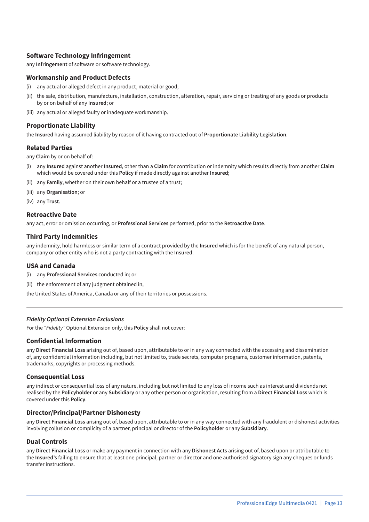#### **Software Technology Infringement**

any **Infringement** of software or software technology.

#### **Workmanship and Product Defects**

- (i) any actual or alleged defect in any product, material or good;
- (ii) the sale, distribution, manufacture, installation, construction, alteration, repair, servicing or treating of any goods or products by or on behalf of any **Insured**; or
- (iii) any actual or alleged faulty or inadequate workmanship.

#### **Proportionate Liability**

the **Insured** having assumed liability by reason of it having contracted out of **Proportionate Liability Legislation**.

#### **Related Parties**

any **Claim** by or on behalf of:

- (i) any **Insured** against another **Insured**, other than a **Claim** for contribution or indemnity which results directly from another **Claim** which would be covered under this **Policy** if made directly against another **Insured**;
- (ii) any **Family**, whether on their own behalf or a trustee of a trust;
- (iii) any **Organisation**; or
- (iv) any **Trust**.

#### **Retroactive Date**

any act, error or omission occurring, or **Professional Services** performed, prior to the **Retroactive Date**.

#### **Third Party Indemnities**

any indemnity, hold harmless or similar term of a contract provided by the **Insured** which is for the benefit of any natural person, company or other entity who is not a party contracting with the **Insured**.

#### **USA and Canada**

- (i) any **Professional Services** conducted in; or
- (ii) the enforcement of any judgment obtained in,

the United States of America, Canada or any of their territories or possessions.

#### *Fidelity Optional Extension Exclusions*

For the *"Fidelity"* Optional Extension only, this **Policy** shall not cover:

#### **Confidential Information**

any **Direct Financial Loss** arising out of, based upon, attributable to or in any way connected with the accessing and dissemination of, any confidential information including, but not limited to, trade secrets, computer programs, customer information, patents, trademarks, copyrights or processing methods.

#### **Consequential Loss**

any indirect or consequential loss of any nature, including but not limited to any loss of income such as interest and dividends not realised by the **Policyholder** or any **Subsidiary** or any other person or organisation, resulting from a **Direct Financial Loss** which is covered under this **Policy**.

#### **Director/Principal/Partner Dishonesty**

any **Direct Financial Loss** arising out of, based upon, attributable to or in any way connected with any fraudulent or dishonest activities involving collusion or complicity of a partner, principal or director of the **Policyholder** or any **Subsidiary**.

#### **Dual Controls**

any **Direct Financial Loss** or make any payment in connection with any **Dishonest Acts** arising out of, based upon or attributable to the **Insured's** failing to ensure that at least one principal, partner or director and one authorised signatory sign any cheques or funds transfer instructions.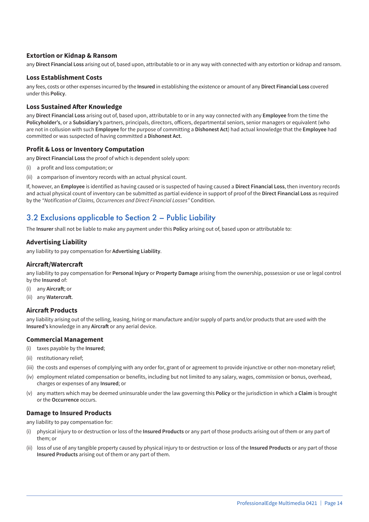#### **Extortion or Kidnap & Ransom**

any **Direct Financial Loss** arising out of, based upon, attributable to or in any way with connected with any extortion or kidnap and ransom.

#### **Loss Establishment Costs**

any fees, costs or other expenses incurred by the **Insured** in establishing the existence or amount of any **Direct Financial Loss** covered under this **Policy**.

#### **Loss Sustained After Knowledge**

any **Direct Financial Loss** arising out of, based upon, attributable to or in any way connected with any **Employee** from the time the **Policyholder's**, or a **Subsidiary's** partners, principals, directors, officers, departmental seniors, senior managers or equivalent (who are not in collusion with such **Employee** for the purpose of committing a **Dishonest Act**) had actual knowledge that the **Employee** had committed or was suspected of having committed a **Dishonest Act**.

#### **Profit & Loss or Inventory Computation**

any **Direct Financial Loss** the proof of which is dependent solely upon:

- (i) a profit and loss computation; or
- (ii) a comparison of inventory records with an actual physical count.

If, however, an **Employee** is identified as having caused or is suspected of having caused a **Direct Financial Loss**, then inventory records and actual physical count of inventory can be submitted as partial evidence in support of proof of the **Direct Financial Loss** as required by the *"Notification of Claims, Occurrences and Direct Financial Losses"* Condition.

### 3.2 Exclusions applicable to Section 2 – Public Liability

The **Insurer** shall not be liable to make any payment under this **Policy** arising out of, based upon or attributable to:

#### **Advertising Liability**

any liability to pay compensation for **Advertising Liability**.

#### **Aircraft/Watercraft**

any liability to pay compensation for **Personal Injury** or **Property Damage** arising from the ownership, possession or use or legal control by the **Insured** of:

- (i) any **Aircraft**; or
- (ii) any **Watercraft**.

#### **Aircraft Products**

any liability arising out of the selling, leasing, hiring or manufacture and/or supply of parts and/or products that are used with the **Insured's** knowledge in any **Aircraft** or any aerial device.

#### **Commercial Management**

- (i) taxes payable by the **Insured**;
- (ii) restitutionary relief;
- (iii) the costs and expenses of complying with any order for, grant of or agreement to provide injunctive or other non-monetary relief;
- (iv) employment related compensation or benefits, including but not limited to any salary, wages, commission or bonus, overhead, charges or expenses of any **Insured**; or
- (v) any matters which may be deemed uninsurable under the law governing this **Policy** or the jurisdiction in which a **Claim** is brought or the **Occurrence** occurs.

#### **Damage to Insured Products**

any liability to pay compensation for:

- (i) physical injury to or destruction or loss of the **Insured Products** or any part of those products arising out of them or any part of them; or
- (ii) loss of use of any tangible property caused by physical injury to or destruction or loss of the **Insured Products** or any part of those **Insured Products** arising out of them or any part of them.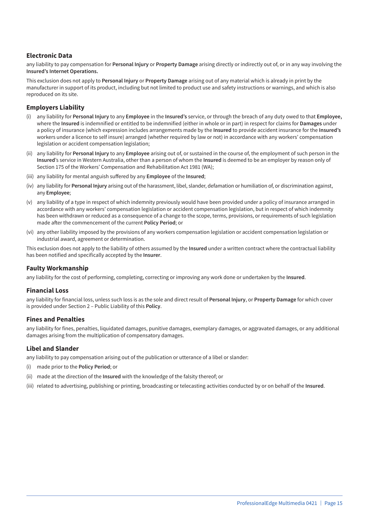#### **Electronic Data**

any liability to pay compensation for **Personal Injury** or **Property Damage** arising directly or indirectly out of, or in any way involving the **Insured's Internet Operations.**

This exclusion does not apply to **Personal Injury** or **Property Damage** arising out of any material which is already in print by the manufacturer in support of its product, including but not limited to product use and safety instructions or warnings, and which is also reproduced on its site.

#### **Employers Liability**

- (i) any liability for **Personal Injury** to any **Employee** in the **Insured's** service, or through the breach of any duty owed to that **Employee,** where the **Insured** is indemnified or entitled to be indemnified (either in whole or in part) in respect for claims for **Damages** under a policy of insurance (which expression includes arrangements made by the **Insured** to provide accident insurance for the **Insured's** workers under a licence to self insure) arranged (whether required by law or not) in accordance with any workers' compensation legislation or accident compensation legislation;
- (ii) any liability for **Personal Injury** to any **Employee** arising out of, or sustained in the course of, the employment of such person in the **Insured**'s service in Western Australia, other than a person of whom the **Insured** is deemed to be an employer by reason only of Section 175 of the Workers' Compensation and Rehabilitation Act 1981 (WA);
- (iii) any liability for mental anguish suffered by any **Employee** of the **Insured**;
- (iv) any liability for **Personal Injury** arising out of the harassment, libel, slander, defamation or humiliation of, or discrimination against, any **Employee**;
- (v) any liability of a type in respect of which indemnity previously would have been provided under a policy of insurance arranged in accordance with any workers' compensation legislation or accident compensation legislation, but in respect of which indemnity has been withdrawn or reduced as a consequence of a change to the scope, terms, provisions, or requirements of such legislation made after the commencement of the current **Policy Period**; or
- (vi) any other liability imposed by the provisions of any workers compensation legislation or accident compensation legislation or industrial award, agreement or determination.

This exclusion does not apply to the liability of others assumed by the **Insured** under a written contract where the contractual liability has been notified and specifically accepted by the **Insurer**.

#### **Faulty Workmanship**

any liability for the cost of performing, completing, correcting or improving any work done or undertaken by the **Insured**.

#### **Financial Loss**

any liability for financial loss, unless such loss is as the sole and direct result of **Personal Injury**, or **Property Damage** for which cover is provided under Section 2 – Public Liability of this **Policy**.

#### **Fines and Penalties**

any liability for fines, penalties, liquidated damages, punitive damages, exemplary damages, or aggravated damages, or any additional damages arising from the multiplication of compensatory damages.

#### **Libel and Slander**

any liability to pay compensation arising out of the publication or utterance of a libel or slander:

- (i) made prior to the **Policy Period**; or
- (ii) made at the direction of the **Insured** with the knowledge of the falsity thereof; or
- (iii) related to advertising, publishing or printing, broadcasting or telecasting activities conducted by or on behalf of the **Insured**.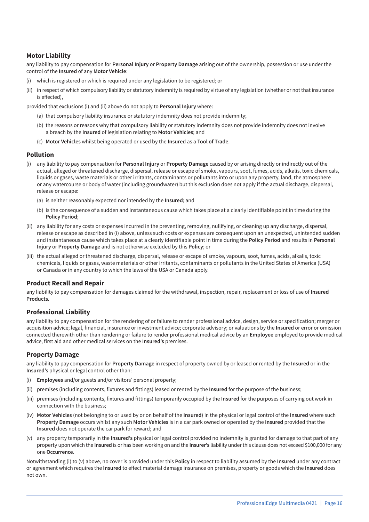#### **Motor Liability**

any liability to pay compensation for **Personal Injury** or **Property Damage** arising out of the ownership, possession or use under the control of the **Insured** of any **Motor Vehicle**:

- (i) which is registered or which is required under any legislation to be registered; or
- (ii) in respect of which compulsory liability or statutory indemnity is required by virtue of any legislation (whether or not that insurance is effected),

provided that exclusions (i) and (ii) above do not apply to **Personal Injury** where:

- (a) that compulsory liability insurance or statutory indemnity does not provide indemnity;
- (b) the reasons or reasons why that compulsory liability or statutory indemnity does not provide indemnity does not involve a breach by the **Insured** of legislation relating to **Motor Vehicles**; and
- (c) **Motor Vehicles** whilst being operated or used by the **Insured** as a **Tool of Trade**.

#### **Pollution**

- (i) any liability to pay compensation for **Personal Injury** or **Property Damage** caused by or arising directly or indirectly out of the actual, alleged or threatened discharge, dispersal, release or escape of smoke, vapours, soot, fumes, acids, alkalis, toxic chemicals, liquids or gases, waste materials or other irritants, contaminants or pollutants into or upon any property, land, the atmosphere or any watercourse or body of water (including groundwater) but this exclusion does not apply if the actual discharge, dispersal, release or escape:
	- (a) is neither reasonably expected nor intended by the **Insured**; and
	- (b) is the consequence of a sudden and instantaneous cause which takes place at a clearly identifiable point in time during the **Policy Period**;
- (ii) any liability for any costs or expenses incurred in the preventing, removing, nullifying, or cleaning up any discharge, dispersal, release or escape as described in (i) above, unless such costs or expenses are consequent upon an unexpected, unintended sudden and instantaneous cause which takes place at a clearly identifiable point in time during the **Policy Period** and results in **Personal Injury** or **Property Damage** and is not otherwise excluded by this **Policy**; or
- (iii) the actual alleged or threatened discharge, dispersal, release or escape of smoke, vapours, soot, fumes, acids, alkalis, toxic chemicals, liquids or gases, waste materials or other irritants, contaminants or pollutants in the United States of America (USA) or Canada or in any country to which the laws of the USA or Canada apply.

#### **Product Recall and Repair**

any liability to pay compensation for damages claimed for the withdrawal, inspection, repair, replacement or loss of use of **Insured Products**.

#### **Professional Liability**

any liability to pay compensation for the rendering of or failure to render professional advice, design, service or specification; merger or acquisition advice; legal, financial, insurance or investment advice; corporate advisory; or valuations by the **Insured** or error or omission connected therewith other than rendering or failure to render professional medical advice by an **Employee** employed to provide medical advice, first aid and other medical services on the **Insured's** premises.

#### **Property Damage**

any liability to pay compensation for **Property Damage** in respect of property owned by or leased or rented by the **Insured** or in the **Insured's** physical or legal control other than:

- (i) **Employees** and/or guests and/or visitors' personal property;
- (ii) premises (including contents, fixtures and fittings) leased or rented by the **Insured** for the purpose of the business;
- (iii) premises (including contents, fixtures and fittings) temporarily occupied by the **Insured** for the purposes of carrying out work in connection with the business;
- (iv) **Motor Vehicles** (not belonging to or used by or on behalf of the **Insured**) in the physical or legal control of the **Insured** where such **Property Damage** occurs whilst any such **Motor Vehicles** is in a car park owned or operated by the **Insured** provided that the **Insured** does not operate the car park for reward; and
- (v) any property temporarily in the **Insured's** physical or legal control provided no indemnity is granted for damage to that part of any property upon which the **Insured** is or has been working on and the **Insurer's** liability under this clause does not exceed \$100,000 for any one **Occurrence**.

Notwithstanding (i) to (v) above, no cover is provided under this **Policy** in respect to liability assumed by the **Insured** under any contract or agreement which requires the **Insured** to effect material damage insurance on premises, property or goods which the **Insured** does not own.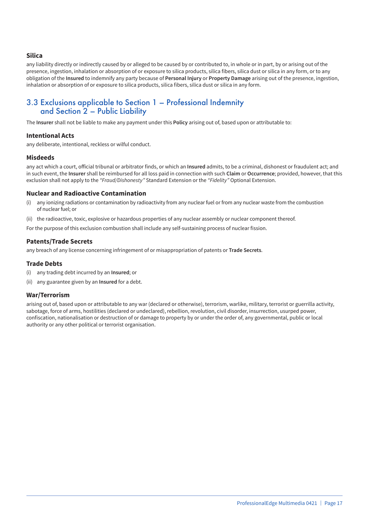#### **Silica**

any liability directly or indirectly caused by or alleged to be caused by or contributed to, in whole or in part, by or arising out of the presence, ingestion, inhalation or absorption of or exposure to silica products, silica fibers, silica dust or silica in any form, or to any obligation of the **Insured** to indemnify any party because of **Personal Injury** or **Property Damage** arising out of the presence, ingestion, inhalation or absorption of or exposure to silica products, silica fibers, silica dust or silica in any form.

### 3.3 Exclusions applicable to Section 1 – Professional Indemnity and Section 2 – Public Liability

The **Insurer** shall not be liable to make any payment under this **Policy** arising out of, based upon or attributable to:

#### **Intentional Acts**

any deliberate, intentional, reckless or wilful conduct.

#### **Misdeeds**

any act which a court, official tribunal or arbitrator finds, or which an **Insured** admits, to be a criminal, dishonest or fraudulent act; and in such event, the **Insurer** shall be reimbursed for all loss paid in connection with such **Claim** or **Occurrence**; provided, however, that this exclusion shall not apply to the *"Fraud/Dishonesty"* Standard Extension or the *"Fidelity"* Optional Extension.

#### **Nuclear and Radioactive Contamination**

- (i) any ionizing radiations or contamination by radioactivity from any nuclear fuel or from any nuclear waste from the combustion of nuclear fuel; or
- (ii) the radioactive, toxic, explosive or hazardous properties of any nuclear assembly or nuclear component thereof.

For the purpose of this exclusion combustion shall include any self-sustaining process of nuclear fission.

#### **Patents/Trade Secrets**

any breach of any license concerning infringement of or misappropriation of patents or **Trade Secrets**.

#### **Trade Debts**

- (i) any trading debt incurred by an **Insured**; or
- (ii) any guarantee given by an **Insured** for a debt.

#### **War/Terrorism**

arising out of, based upon or attributable to any war (declared or otherwise), terrorism, warlike, military, terrorist or guerrilla activity, sabotage, force of arms, hostilities (declared or undeclared), rebellion, revolution, civil disorder, insurrection, usurped power, confiscation, nationalisation or destruction of or damage to property by or under the order of, any governmental, public or local authority or any other political or terrorist organisation.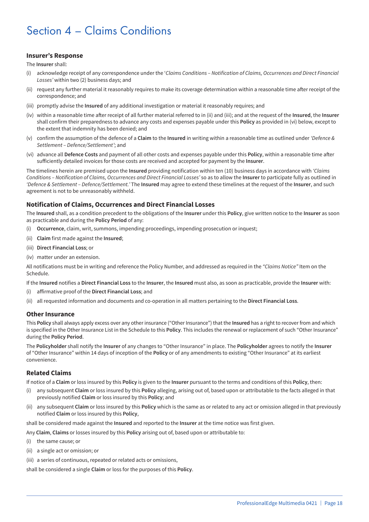## Section 4 – Claims Conditions

#### **Insurer's Response**

The **Insurer** shall:

- (i) acknowledge receipt of any correspondence under the '*Claims Conditions Notification of Claims, Occurrences and Direct Financial Losses'* within two (2) business days; and
- (ii) request any further material it reasonably requires to make its coverage determination within a reasonable time after receipt of the correspondence; and
- (iii) promptly advise the **Insured** of any additional investigation or material it reasonably requires; and
- (iv) within a reasonable time after receipt of all further material referred to in (ii) and (iii); and at the request of the **Insured**, the **Insurer** shall confirm their preparedness to advance any costs and expenses payable under this **Policy** as provided in (vi) below, except to the extent that indemnity has been denied; and
- (v) confirm the assumption of the defence of a **Claim** to the **Insured** in writing within a reasonable time as outlined under *'Defence & Settlement – Defence/Settlement'*; and
- (vi) advance all **Defence Costs** and payment of all other costs and expenses payable under this **Policy**, within a reasonable time after sufficiently detailed invoices for those costs are received and accepted for payment by the **Insurer**.

The timelines herein are premised upon the **Insured** providing notification within ten (10) business days in accordance with *'Claims Conditions – Notification of Claims, Occurrences and Direct Financial Losses'* so as to allow the **Insurer** to participate fully as outlined in *'Defence & Settlement – Defence/Settlement.'* The **Insured** may agree to extend these timelines at the request of the **Insurer**, and such agreement is not to be unreasonably withheld.

#### **Notification of Claims, Occurrences and Direct Financial Losses**

The **Insured** shall, as a condition precedent to the obligations of the **Insurer** under this **Policy**, give written notice to the **Insurer** as soon as practicable and during the **Policy Period** of any:

- (i) **Occurrence**, claim, writ, summons, impending proceedings, impending prosecution or inquest;
- (ii) **Claim** first made against the **Insured**;
- (iii) **Direct Financial Loss**; or
- (iv) matter under an extension.

All notifications must be in writing and reference the Policy Number, and addressed as required in the *"Claims Notice"* Item on the Schedule.

If the **Insured** notifies a **Direct Financial Loss** to the **Insurer**, the **Insured** must also, as soon as practicable, provide the **Insurer** with:

- (i) affirmative proof of the **Direct Financial Loss**; and
- (ii) all requested information and documents and co-operation in all matters pertaining to the **Direct Financial Loss**.

#### **Other Insurance**

This **Policy** shall always apply excess over any other insurance ("Other Insurance") that the **Insured** has a right to recover from and which is specified in the Other Insurance List in the Schedule to this **Policy**. This includes the renewal or replacement of such "Other Insurance" during the **Policy Period**.

The **Policyholder** shall notify the **Insurer** of any changes to "Other Insurance" in place. The **Policyholder** agrees to notify the **Insurer** of "Other Insurance" within 14 days of inception of the **Policy** or of any amendments to existing "Other Insurance" at its earliest convenience.

#### **Related Claims**

If notice of a **Claim** or loss insured by this **Policy** is given to the **Insurer** pursuant to the terms and conditions of this **Policy**, then:

- (i) any subsequent **Claim** or loss insured by this **Policy** alleging, arising out of, based upon or attributable to the facts alleged in that previously notified **Claim** or loss insured by this **Policy**; and
- (ii) any subsequent **Claim** or loss insured by this **Policy** which is the same as or related to any act or omission alleged in that previously notified **Claim** or loss insured by this **Policy**,

shall be considered made against the **Insured** and reported to the **Insurer** at the time notice was first given.

- Any **Claim**, **Claims** or losses insured by this **Policy** arising out of, based upon or attributable to:
- (i) the same cause; or
- (ii) a single act or omission; or
- (iii) a series of continuous, repeated or related acts or omissions,

shall be considered a single **Claim** or loss for the purposes of this **Policy**.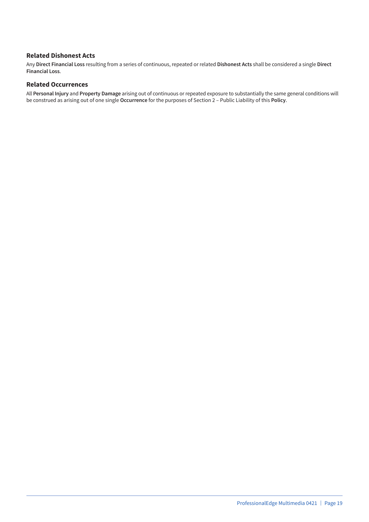#### **Related Dishonest Acts**

Any **Direct Financial Loss** resulting from a series of continuous, repeated or related **Dishonest Acts** shall be considered a single **Direct Financial Loss**.

#### **Related Occurrences**

All **Personal Injury** and **Property Damage** arising out of continuous or repeated exposure to substantially the same general conditions will be construed as arising out of one single **Occurrence** for the purposes of Section 2 – Public Liability of this **Policy**.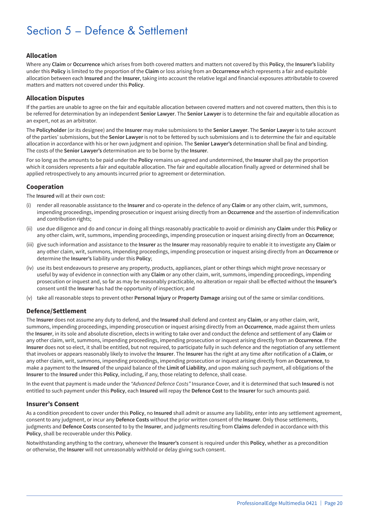## Section 5 – Defence & Settlement

#### **Allocation**

Where any **Claim** or **Occurrence** which arises from both covered matters and matters not covered by this **Policy**, the **Insurer's** liability under this **Policy** is limited to the proportion of the **Claim** or loss arising from an **Occurrence** which represents a fair and equitable allocation between each **Insured** and the **Insurer**, taking into account the relative legal and financial exposures attributable to covered matters and matters not covered under this **Policy**.

#### **Allocation Disputes**

If the parties are unable to agree on the fair and equitable allocation between covered matters and not covered matters, then this is to be referred for determination by an independent **Senior Lawyer**. The **Senior Lawyer** is to determine the fair and equitable allocation as an expert, not as an arbitrator.

The **Policyholder** (or its designee) and the **Insurer** may make submissions to the **Senior Lawyer**. The **Senior Lawyer** is to take account of the parties' submissions, but the **Senior Lawyer** is not to be fettered by such submissions and is to determine the fair and equitable allocation in accordance with his or her own judgment and opinion. The **Senior Lawyer's** determination shall be final and binding. The costs of the **Senior Lawyer's** determination are to be borne by the **Insurer**.

For so long as the amounts to be paid under the **Policy** remains un-agreed and undetermined, the **Insurer** shall pay the proportion which it considers represents a fair and equitable allocation. The fair and equitable allocation finally agreed or determined shall be applied retrospectively to any amounts incurred prior to agreement or determination.

#### **Cooperation**

The **Insured** will at their own cost:

- (i) render all reasonable assistance to the **Insurer** and co-operate in the defence of any **Claim** or any other claim, writ, summons, impending proceedings, impending prosecution or inquest arising directly from an **Occurrence** and the assertion of indemnification and contribution rights;
- (ii) use due diligence and do and concur in doing all things reasonably practicable to avoid or diminish any **Claim** under this **Policy** or any other claim, writ, summons, impending proceedings, impending prosecution or inquest arising directly from an **Occurrence**;
- (iii) give such information and assistance to the **Insurer** as the **Insurer** may reasonably require to enable it to investigate any **Claim** or any other claim, writ, summons, impending proceedings, impending prosecution or inquest arising directly from an **Occurrence** or determine the **Insurer's** liability under this **Policy**;
- (iv) use its best endeavours to preserve any property, products, appliances, plant or other things which might prove necessary or useful by way of evidence in connection with any **Claim** or any other claim, writ, summons, impending proceedings, impending prosecution or inquest and, so far as may be reasonably practicable, no alteration or repair shall be effected without the **Insurer's** consent until the **Insurer** has had the opportunity of inspection; and
- (v) take all reasonable steps to prevent other **Personal Injury** or **Property Damage** arising out of the same or similar conditions.

#### **Defence/Settlement**

The **Insurer** does not assume any duty to defend, and the **Insured** shall defend and contest any **Claim**, or any other claim, writ, summons, impending proceedings, impending prosecution or inquest arising directly from an **Occurrence**, made against them unless the **Insurer**, in its sole and absolute discretion, elects in writing to take over and conduct the defence and settlement of any **Claim** or any other claim, writ, summons, impending proceedings, impending prosecution or inquest arising directly from an **Occurrence**. If the **Insurer** does not so elect, it shall be entitled, but not required, to participate fully in such defence and the negotiation of any settlement that involves or appears reasonably likely to involve the **Insurer**. The **Insurer** has the right at any time after notification of a **Claim**, or any other claim, writ, summons, impending proceedings, impending prosecution or inquest arising directly from an **Occurrence**, to make a payment to the **Insured** of the unpaid balance of the **Limit of Liability**, and upon making such payment, all obligations of the **Insurer** to the **Insured** under this **Policy**, including, if any, those relating to defence, shall cease.

In the event that payment is made under the *"Advanced Defence Costs"* Insurance Cover, and it is determined that such **Insured** is not entitled to such payment under this **Policy**, each **Insured** will repay the **Defence Cost** to the **Insurer** for such amounts paid.

#### **Insurer's Consent**

As a condition precedent to cover under this **Policy**, no **Insured** shall admit or assume any liability, enter into any settlement agreement, consent to any judgment, or incur any **Defence Costs** without the prior written consent of the **Insurer**. Only those settlements, judgments and **Defence Costs** consented to by the **Insurer**, and judgments resulting from **Claims** defended in accordance with this **Policy**, shall be recoverable under this **Policy**.

Notwithstanding anything to the contrary, whenever the **Insurer's** consent is required under this **Policy**, whether as a precondition or otherwise, the **Insurer** will not unreasonably withhold or delay giving such consent.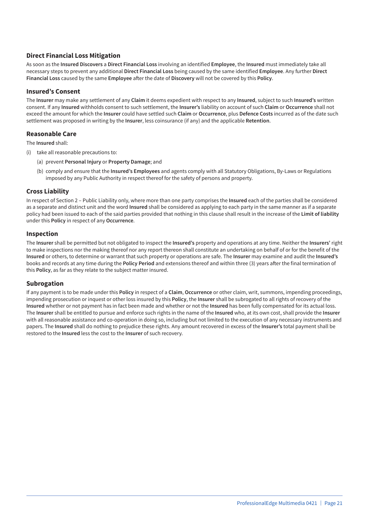#### **Direct Financial Loss Mitigation**

As soon as the **Insured Discovers** a **Direct Financial Loss** involving an identified **Employee**, the **Insured** must immediately take all necessary steps to prevent any additional **Direct Financial Loss** being caused by the same identified **Employee**. Any further **Direct Financial Loss** caused by the same **Employee** after the date of **Discovery** will not be covered by this **Policy**.

#### **Insured's Consent**

The **Insurer** may make any settlement of any **Claim** it deems expedient with respect to any **Insured**, subject to such **Insured's** written consent. If any **Insured** withholds consent to such settlement, the **Insurer's** liability on account of such **Claim** or **Occurrence** shall not exceed the amount for which the **Insurer** could have settled such **Claim** or **Occurrence**, plus **Defence Costs** incurred as of the date such settlement was proposed in writing by the **Insurer**, less coinsurance (if any) and the applicable **Retention**.

#### **Reasonable Care**

The **Insured** shall:

- (i) take all reasonable precautions to:
	- (a) prevent **Personal Injury** or **Property Damage**; and
	- (b) comply and ensure that the **Insured's Employees** and agents comply with all Statutory Obligations, By-Laws or Regulations imposed by any Public Authority in respect thereof for the safety of persons and property.

#### **Cross Liability**

In respect of Section 2 – Public Liability only, where more than one party comprises the **Insured** each of the parties shall be considered as a separate and distinct unit and the word **Insured** shall be considered as applying to each party in the same manner as if a separate policy had been issued to each of the said parties provided that nothing in this clause shall result in the increase of the **Limit of liability** under this **Policy** in respect of any **Occurrence**.

#### **Inspection**

The **Insurer** shall be permitted but not obligated to inspect the **Insured's** property and operations at any time. Neither the **Insurers'** right to make inspections nor the making thereof nor any report thereon shall constitute an undertaking on behalf of or for the benefit of the **Insured** or others, to determine or warrant that such property or operations are safe. The **Insurer** may examine and audit the **Insured's** books and records at any time during the **Policy Period** and extensions thereof and within three (3) years after the final termination of this **Policy**, as far as they relate to the subject matter insured.

#### **Subrogation**

If any payment is to be made under this **Policy** in respect of a **Claim**, **Occurrence** or other claim, writ, summons, impending proceedings, impending prosecution or inquest or other loss insured by this **Policy**, the **Insurer** shall be subrogated to all rights of recovery of the **Insured** whether or not payment has in fact been made and whether or not the **Insured** has been fully compensated for its actual loss. The **Insurer** shall be entitled to pursue and enforce such rights in the name of the **Insured** who, at its own cost, shall provide the **Insurer** with all reasonable assistance and co-operation in doing so, including but not limited to the execution of any necessary instruments and papers. The **Insured** shall do nothing to prejudice these rights. Any amount recovered in excess of the **Insurer's** total payment shall be restored to the **Insured** less the cost to the **Insurer** of such recovery.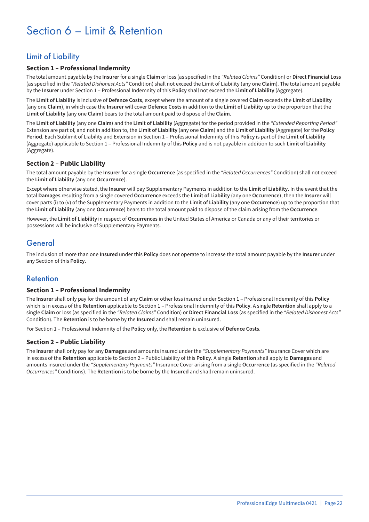## Section 6 – Limit & Retention

## Limit of Liability

#### **Section 1 – Professional Indemnity**

The total amount payable by the **Insurer** for a single **Claim** or loss (as specified in the *"Related Claims"* Condition) or **Direct Financial Loss** (as specified in the *"Related Dishonest Acts"* Condition) shall not exceed the Limit of Liability (any one **Claim**). The total amount payable by the **Insurer** under Section 1 – Professional Indemnity of this **Policy** shall not exceed the **Limit of Liability** (Aggregate).

The **Limit of Liability** is inclusive of **Defence Costs**, except where the amount of a single covered **Claim** exceeds the **Limit of Liability** (any one **Claim**), in which case the **Insurer** will cover **Defence Costs** in addition to the **Limit of Liability** up to the proportion that the **Limit of Liability** (any one **Claim**) bears to the total amount paid to dispose of the **Claim**.

The **Limit of Liability** (any one **Claim**) and the **Limit of Liability** (Aggregate) for the period provided in the *"Extended Reporting Period"* Extension are part of, and not in addition to, the **Limit of Liability** (any one **Claim**) and the **Limit of Liability** (Aggregate) for the **Policy Period**. Each Sublimit of Liability and Extension in Section 1 – Professional Indemnity of this **Policy** is part of the **Limit of Liability** (Aggregate) applicable to Section 1 – Professional Indemnity of this **Policy** and is not payable in addition to such **Limit of Liability** (Aggregate).

#### **Section 2 – Public Liability**

The total amount payable by the **Insurer** for a single **Occurrence** (as specified in the *"Related Occurrences"* Condition) shall not exceed the **Limit of Liability** (any one **Occurrence**).

Except where otherwise stated, the **Insurer** will pay Supplementary Payments in addition to the **Limit of Liability**. In the event that the total **Damages** resulting from a single covered **Occurrence** exceeds the **Limit of Liability** (any one **Occurrence**), then the **Insurer** will cover parts (i) to (v) of the Supplementary Payments in addition to the **Limit of Liability** (any one **Occurrence**) up to the proportion that the **Limit of Liability** (any one **Occurrence**) bears to the total amount paid to dispose of the claim arising from the **Occurrence**.

However, the **Limit of Liability** in respect of **Occurrences** in the United States of America or Canada or any of their territories or possessions will be inclusive of Supplementary Payments.

### General

The inclusion of more than one **Insured** under this **Policy** does not operate to increase the total amount payable by the **Insurer** under any Section of this **Policy**.

### Retention

#### **Section 1 – Professional Indemnity**

The **Insurer** shall only pay for the amount of any **Claim** or other loss insured under Section 1 – Professional Indemnity of this **Policy** which is in excess of the **Retention** applicable to Section 1 – Professional Indemnity of this **Policy**. A single **Retention** shall apply to a single **Claim** or loss (as specified in the *"Related Claims"* Condition) or **Direct Financial Loss** (as specified in the *"Related Dishonest Acts"* Condition). The **Retention** is to be borne by the **Insured** and shall remain uninsured.

For Section 1 – Professional Indemnity of the **Policy** only, the **Retention** is exclusive of **Defence Costs**.

#### **Section 2 – Public Liability**

The **Insurer** shall only pay for any **Damages** and amounts insured under the *"Supplementary Payments"* Insurance Cover which are in excess of the **Retention** applicable to Section 2 – Public Liability of this **Policy**. A single **Retention** shall apply to **Damages** and amounts insured under the *"Supplementary Payments"* Insurance Cover arising from a single **Occurrence** (as specified in the *"Related Occurrences"* Conditions). The **Retention** is to be borne by the **Insured** and shall remain uninsured.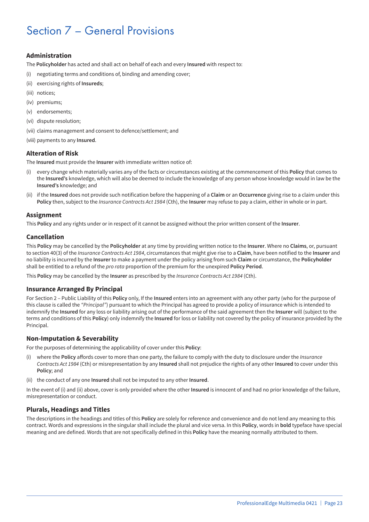## Section 7 – General Provisions

#### **Administration**

The **Policyholder** has acted and shall act on behalf of each and every **Insured** with respect to:

- (i) negotiating terms and conditions of, binding and amending cover;
- (ii) exercising rights of **Insureds**;
- (iii) notices;
- (iv) premiums;
- (v) endorsements;
- (vi) dispute resolution;
- (vii) claims management and consent to defence/settlement; and
- (viii) payments to any **Insured**.

#### **Alteration of Risk**

The **Insured** must provide the **Insurer** with immediate written notice of:

- (i) every change which materially varies any of the facts or circumstances existing at the commencement of this **Policy** that comes to the **Insured's** knowledge, which will also be deemed to include the knowledge of any person whose knowledge would in law be the **Insured's** knowledge; and
- (ii) if the **Insured** does not provide such notification before the happening of a **Claim** or an **Occurrence** giving rise to a claim under this **Policy** then, subject to the *Insurance Contracts Act 1984* (Cth), the **Insurer** may refuse to pay a claim, either in whole or in part.

#### **Assignment**

This **Policy** and any rights under or in respect of it cannot be assigned without the prior written consent of the **Insurer**.

#### **Cancellation**

This **Policy** may be cancelled by the **Policyholder** at any time by providing written notice to the **Insurer**. Where no **Claims**, or, pursuant to section 40(3) of the *Insurance Contracts Act 1984*, circumstances that might give rise to a **Claim**, have been notified to the **Insurer** and no liability is incurred by the **Insurer** to make a payment under the policy arising from such **Claim** or circumstance, the **Policyholder** shall be entitled to a refund of the *pro rata* proportion of the premium for the unexpired **Policy Period**.

This **Policy** may be cancelled by the **Insurer** as prescribed by the *Insurance Contracts Act 1984* (Cth).

#### **Insurance Arranged By Principal**

For Section 2 – Public Liability of this **Policy** only, If the **Insured** enters into an agreement with any other party (who for the purpose of this clause is called the *"Principal"*) pursuant to which the Principal has agreed to provide a policy of insurance which is intended to indemnify the **Insured** for any loss or liability arising out of the performance of the said agreement then the **Insurer** will (subject to the terms and conditions of this **Policy**) only indemnify the **Insured** for loss or liability not covered by the policy of insurance provided by the Principal.

#### **Non-Imputation & Severability**

For the purposes of determining the applicability of cover under this **Policy**:

- (i) where the **Policy** affords cover to more than one party, the failure to comply with the duty to disclosure under the *Insurance Contracts Act 1984* (Cth) or misrepresentation by any **Insured** shall not prejudice the rights of any other **Insured** to cover under this **Policy**; and
- (ii) the conduct of any one **Insured** shall not be imputed to any other **Insured**.

In the event of (i) and (ii) above, cover is only provided where the other **Insured** is innocent of and had no prior knowledge of the failure, misrepresentation or conduct.

#### **Plurals, Headings and Titles**

The descriptions in the headings and titles of this **Policy** are solely for reference and convenience and do not lend any meaning to this contract. Words and expressions in the singular shall include the plural and vice versa. In this **Policy**, words in **bold** typeface have special meaning and are defined. Words that are not specifically defined in this **Policy** have the meaning normally attributed to them.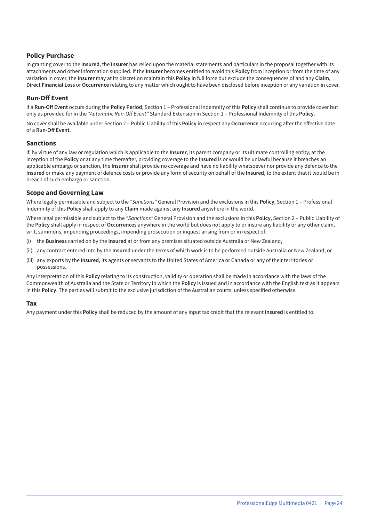#### **Policy Purchase**

In granting cover to the **Insured**, the **Insurer** has relied upon the material statements and particulars in the proposal together with its attachments and other information supplied. If the **Insurer** becomes entitled to avoid this **Policy** from inception or from the time of any variation in cover, the **Insurer** may at its discretion maintain this **Policy** in full force but exclude the consequences of and any **Claim**, **Direct Financial Loss** or **Occurrence** relating to any matter which ought to have been disclosed before inception or any variation in cover.

#### **Run-Off Event**

If a **Run-Off Event** occurs during the **Policy Period**, Section 1 – Professional Indemnity of this **Policy** shall continue to provide cover but only as provided for in the *"Automatic Run-Off Event"* Standard Extension in Section 1 – Professional Indemnity of this **Policy**.

No cover shall be available under Section 2 – Public Liability of this **Policy** in respect any **Occurrence** occurring after the effective date of a **Run-Off Event**.

#### **Sanctions**

If, by virtue of any law or regulation which is applicable to the **Insurer**, its parent company or its ultimate controlling entity, at the inception of the **Policy** or at any time thereafter, providing coverage to the **Insured** is or would be unlawful because it breaches an applicable embargo or sanction, the **Insurer** shall provide no coverage and have no liability whatsoever nor provide any defence to the **Insured** or make any payment of defence costs or provide any form of security on behalf of the **Insured**, to the extent that it would be in breach of such embargo or sanction.

#### **Scope and Governing Law**

Where legally permissible and subject to the *"Sanctions"* General Provision and the exclusions in this **Policy**, Section 1 – Professional Indemnity of this **Policy** shall apply to any **Claim** made against any **Insured** anywhere in the world.

Where legal permissible and subject to the *"Sanctions"* General Provision and the exclusions in this **Policy**, Section 2 – Public Liability of the **Policy** shall apply in respect of **Occurrences** anywhere in the world but does not apply to or insure any liability or any other claim, writ, summons, impending proceedings, impending prosecution or inquest arising from or in respect of:

- (i) the **Business** carried on by the **Insured** at or from any premises situated outside Australia or New Zealand,
- (ii) any contract entered into by the **Insured** under the terms of which work is to be performed outside Australia or New Zealand, or
- (iii) any exports by the **Insured**, its agents or servants to the United States of America or Canada or any of their territories or possessions.

Any interpretation of this **Policy** relating to its construction, validity or operation shall be made in accordance with the laws of the Commonwealth of Australia and the State or Territory in which the **Policy** is issued and in accordance with the English text as it appears in this **Policy**. The parties will submit to the exclusive jurisdiction of the Australian courts, unless specified otherwise.

#### **Tax**

Any payment under this **Policy** shall be reduced by the amount of any input tax credit that the relevant **Insured** is entitled to.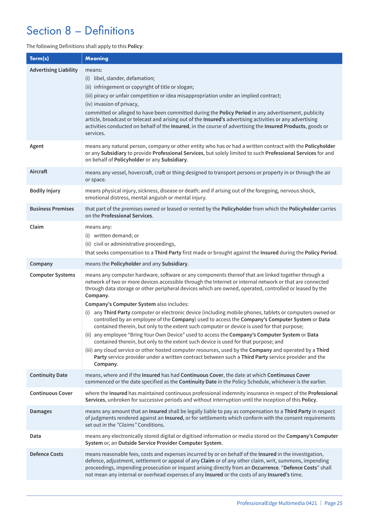## Section 8 – Definitions

#### The following Definitions shall apply to this **Policy**:

| Term(s)                      | <b>Meaning</b>                                                                                                                                                                                                                                                                                                                                                                                                                                                                                                                                                                                                                                                                                                                                                                                                                                                                                                                                                                                                                                                                                                         |
|------------------------------|------------------------------------------------------------------------------------------------------------------------------------------------------------------------------------------------------------------------------------------------------------------------------------------------------------------------------------------------------------------------------------------------------------------------------------------------------------------------------------------------------------------------------------------------------------------------------------------------------------------------------------------------------------------------------------------------------------------------------------------------------------------------------------------------------------------------------------------------------------------------------------------------------------------------------------------------------------------------------------------------------------------------------------------------------------------------------------------------------------------------|
| <b>Advertising Liability</b> | means:<br>(i) libel, slander, defamation;<br>(ii) infringement or copyright of title or slogan;<br>(iii) piracy or unfair competition or idea misappropriation under an implied contract;<br>(iv) invasion of privacy,<br>committed or alleged to have been committed during the Policy Period in any advertisement, publicity<br>article, broadcast or telecast and arising out of the Insured's advertising activities or any advertising<br>activities conducted on behalf of the Insured, in the course of advertising the Insured Products, goods or<br>services.                                                                                                                                                                                                                                                                                                                                                                                                                                                                                                                                                 |
| Agent                        | means any natural person, company or other entity who has or had a written contract with the Policyholder<br>or any Subsidiary to provide Professional Services, but solely limited to such Professional Services for and<br>on behalf of Policyholder or any Subsidiary.                                                                                                                                                                                                                                                                                                                                                                                                                                                                                                                                                                                                                                                                                                                                                                                                                                              |
| Aircraft                     | means any vessel, hovercraft, craft or thing designed to transport persons or property in or through the air<br>or space.                                                                                                                                                                                                                                                                                                                                                                                                                                                                                                                                                                                                                                                                                                                                                                                                                                                                                                                                                                                              |
| <b>Bodily Injury</b>         | means physical injury, sickness, disease or death; and if arising out of the foregoing, nervous shock,<br>emotional distress, mental anguish or mental injury.                                                                                                                                                                                                                                                                                                                                                                                                                                                                                                                                                                                                                                                                                                                                                                                                                                                                                                                                                         |
| <b>Business Premises</b>     | that part of the premises owned or leased or rented by the Policyholder from which the Policyholder carries<br>on the Professional Services.                                                                                                                                                                                                                                                                                                                                                                                                                                                                                                                                                                                                                                                                                                                                                                                                                                                                                                                                                                           |
| Claim                        | means any:<br>(i) written demand; or<br>(ii) civil or administrative proceedings,<br>that seeks compensation to a Third Party first made or brought against the Insured during the Policy Period.                                                                                                                                                                                                                                                                                                                                                                                                                                                                                                                                                                                                                                                                                                                                                                                                                                                                                                                      |
| Company                      | means the Policyholder and any Subsidiary.                                                                                                                                                                                                                                                                                                                                                                                                                                                                                                                                                                                                                                                                                                                                                                                                                                                                                                                                                                                                                                                                             |
| <b>Computer Systems</b>      | means any computer hardware, software or any components thereof that are linked together through a<br>network of two or more devices accessible through the Internet or internal network or that are connected<br>through data storage or other peripheral devices which are owned, operated, controlled or leased by the<br>Company.<br>Company's Computer System also includes:<br>(i) any Third Party computer or electronic device (including mobile phones, tablets or computers owned or<br>controlled by an employee of the Company) used to access the Company's Computer System or Data<br>contained therein, but only to the extent such computer or device is used for that purpose;<br>(ii) any employee "Bring Your Own Device" used to access the Company's Computer System or Data<br>contained therein, but only to the extent such device is used for that purpose; and<br>(iii) any cloud service or other hosted computer resources, used by the Company and operated by a Third<br>Party service provider under a written contract between such a Third Party service provider and the<br>Company. |
| <b>Continuity Date</b>       | means, where and if the Insured has had Continuous Cover, the date at which Continuous Cover<br>commenced or the date specified as the Continuity Date in the Policy Schedule, whichever is the earlier.                                                                                                                                                                                                                                                                                                                                                                                                                                                                                                                                                                                                                                                                                                                                                                                                                                                                                                               |
| <b>Continuous Cover</b>      | where the Insured has maintained continuous professional indemnity insurance in respect of the Professional<br>Services, unbroken for successive periods and without interruption until the inception of this Policy.                                                                                                                                                                                                                                                                                                                                                                                                                                                                                                                                                                                                                                                                                                                                                                                                                                                                                                  |
| <b>Damages</b>               | means any amount that an Insured shall be legally liable to pay as compensation to a Third Party in respect<br>of judgments rendered against an Insured, or for settlements which conform with the consent requirements<br>set out in the "Claims" Conditions.                                                                                                                                                                                                                                                                                                                                                                                                                                                                                                                                                                                                                                                                                                                                                                                                                                                         |
| Data                         | means any electronically stored digital or digitised information or media stored on the Company's Computer<br>System or, an Outside Service Provider Computer System.                                                                                                                                                                                                                                                                                                                                                                                                                                                                                                                                                                                                                                                                                                                                                                                                                                                                                                                                                  |
| <b>Defence Costs</b>         | means reasonable fees, costs and expenses incurred by or on behalf of the Insured in the investigation,<br>defence, adjustment, settlement or appeal of any Claim or of any other claim, writ, summons, impending<br>proceedings, impending prosecution or inquest arising directly from an Occurrence. "Defence Costs" shall<br>not mean any internal or overhead expenses of any Insured or the costs of any Insured's time.                                                                                                                                                                                                                                                                                                                                                                                                                                                                                                                                                                                                                                                                                         |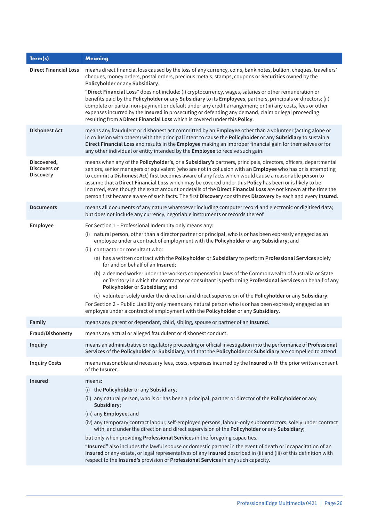| Term(s)                                         | <b>Meaning</b>                                                                                                                                                                                                                                                                                                                                                                                                                                                                                                                                                                                                                                                                   |
|-------------------------------------------------|----------------------------------------------------------------------------------------------------------------------------------------------------------------------------------------------------------------------------------------------------------------------------------------------------------------------------------------------------------------------------------------------------------------------------------------------------------------------------------------------------------------------------------------------------------------------------------------------------------------------------------------------------------------------------------|
| <b>Direct Financial Loss</b>                    | means direct financial loss caused by the loss of any currency, coins, bank notes, bullion, cheques, travellers'<br>cheques, money orders, postal orders, precious metals, stamps, coupons or Securities owned by the<br>Policyholder or any Subsidiary.                                                                                                                                                                                                                                                                                                                                                                                                                         |
|                                                 | "Direct Financial Loss" does not include: (i) cryptocurrency, wages, salaries or other remuneration or<br>benefits paid by the Policyholder or any Subsidiary to its Employees, partners, principals or directors; (ii)<br>complete or partial non-payment or default under any credit arrangement; or (iii) any costs, fees or other<br>expenses incurred by the Insured in prosecuting or defending any demand, claim or legal proceeding<br>resulting from a Direct Financial Loss which is covered under this Policy.                                                                                                                                                        |
| <b>Dishonest Act</b>                            | means any fraudulent or dishonest act committed by an Employee other than a volunteer (acting alone or<br>in collusion with others) with the principal intent to cause the Policyholder or any Subsidiary to sustain a<br>Direct Financial Loss and results in the Employee making an improper financial gain for themselves or for<br>any other individual or entity intended by the Employee to receive such gain.                                                                                                                                                                                                                                                             |
| Discovered,<br>Discovers or<br><b>Discovery</b> | means when any of the Policyholder's, or a Subsidiary's partners, principals, directors, officers, departmental<br>seniors, senior managers or equivalent (who are not in collusion with an Employee who has or is attempting<br>to commit a Dishonest Act) first becomes aware of any facts which would cause a reasonable person to<br>assume that a Direct Financial Loss which may be covered under this Policy has been or is likely to be<br>incurred, even though the exact amount or details of the Direct Financial Loss are not known at the time the<br>person first became aware of such facts. The first Discovery constitutes Discovery by each and every Insured. |
| <b>Documents</b>                                | means all documents of any nature whatsoever including computer record and electronic or digitised data;<br>but does not include any currency, negotiable instruments or records thereof.                                                                                                                                                                                                                                                                                                                                                                                                                                                                                        |
| Employee                                        | For Section 1 - Professional Indemnity only means any:                                                                                                                                                                                                                                                                                                                                                                                                                                                                                                                                                                                                                           |
|                                                 | (i) natural person, other than a director partner or principal, who is or has been expressly engaged as an<br>employee under a contract of employment with the Policyholder or any Subsidiary; and                                                                                                                                                                                                                                                                                                                                                                                                                                                                               |
|                                                 | (ii) contractor or consultant who:                                                                                                                                                                                                                                                                                                                                                                                                                                                                                                                                                                                                                                               |
|                                                 | (a) has a written contract with the Policyholder or Subsidiary to perform Professional Services solely<br>for and on behalf of an Insured;                                                                                                                                                                                                                                                                                                                                                                                                                                                                                                                                       |
|                                                 | (b) a deemed worker under the workers compensation laws of the Commonwealth of Australia or State<br>or Territory in which the contractor or consultant is performing Professional Services on behalf of any<br>Policyholder or Subsidiary; and                                                                                                                                                                                                                                                                                                                                                                                                                                  |
|                                                 | (c) volunteer solely under the direction and direct supervision of the Policyholder or any Subsidiary.                                                                                                                                                                                                                                                                                                                                                                                                                                                                                                                                                                           |
|                                                 | For Section 2 - Public Liability only means any natural person who is or has been expressly engaged as an<br>employee under a contract of employment with the Policyholder or any Subsidiary.                                                                                                                                                                                                                                                                                                                                                                                                                                                                                    |
| Family                                          | means any parent or dependant, child, sibling, spouse or partner of an Insured.                                                                                                                                                                                                                                                                                                                                                                                                                                                                                                                                                                                                  |
| Fraud/Dishonesty                                | means any actual or alleged fraudulent or dishonest conduct.                                                                                                                                                                                                                                                                                                                                                                                                                                                                                                                                                                                                                     |
| <b>Inquiry</b>                                  | means an administrative or regulatory proceeding or official investigation into the performance of Professional<br>Services of the Policyholder or Subsidiary, and that the Policyholder or Subsidiary are compelled to attend.                                                                                                                                                                                                                                                                                                                                                                                                                                                  |
| <b>Inquiry Costs</b>                            | means reasonable and necessary fees, costs, expenses incurred by the Insured with the prior written consent<br>of the <b>Insurer</b> .                                                                                                                                                                                                                                                                                                                                                                                                                                                                                                                                           |
| <b>Insured</b>                                  | means:                                                                                                                                                                                                                                                                                                                                                                                                                                                                                                                                                                                                                                                                           |
|                                                 | (i) the Policyholder or any Subsidiary;                                                                                                                                                                                                                                                                                                                                                                                                                                                                                                                                                                                                                                          |
|                                                 | (ii) any natural person, who is or has been a principal, partner or director of the Policyholder or any<br>Subsidiary;                                                                                                                                                                                                                                                                                                                                                                                                                                                                                                                                                           |
|                                                 | (iii) any Employee; and                                                                                                                                                                                                                                                                                                                                                                                                                                                                                                                                                                                                                                                          |
|                                                 | (iv) any temporary contract labour, self-employed persons, labour-only subcontractors, solely under contract<br>with, and under the direction and direct supervision of the Policyholder or any Subsidiary;                                                                                                                                                                                                                                                                                                                                                                                                                                                                      |
|                                                 | but only when providing Professional Services in the foregoing capacities.                                                                                                                                                                                                                                                                                                                                                                                                                                                                                                                                                                                                       |
|                                                 | "Insured" also includes the lawful spouse or domestic partner in the event of death or incapacitation of an<br>Insured or any estate, or legal representatives of any Insured described in (ii) and (iii) of this definition with<br>respect to the Insured's provision of Professional Services in any such capacity.                                                                                                                                                                                                                                                                                                                                                           |
|                                                 |                                                                                                                                                                                                                                                                                                                                                                                                                                                                                                                                                                                                                                                                                  |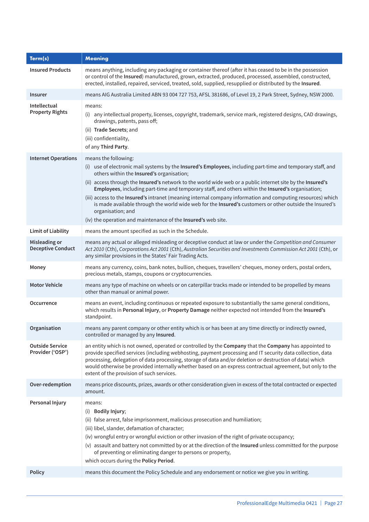| Term(s)                                    | <b>Meaning</b>                                                                                                                                                                                                                                                                                                                                                                                                                                                                                                                                                                                                                                                                                                      |
|--------------------------------------------|---------------------------------------------------------------------------------------------------------------------------------------------------------------------------------------------------------------------------------------------------------------------------------------------------------------------------------------------------------------------------------------------------------------------------------------------------------------------------------------------------------------------------------------------------------------------------------------------------------------------------------------------------------------------------------------------------------------------|
| <b>Insured Products</b>                    | means anything, including any packaging or container thereof (after it has ceased to be in the possession<br>or control of the Insured) manufactured, grown, extracted, produced, processed, assembled, constructed,<br>erected, installed, repaired, serviced, treated, sold, supplied, resupplied or distributed by the Insured.                                                                                                                                                                                                                                                                                                                                                                                  |
| <b>Insurer</b>                             | means AIG Australia Limited ABN 93 004 727 753, AFSL 381686, of Level 19, 2 Park Street, Sydney, NSW 2000.                                                                                                                                                                                                                                                                                                                                                                                                                                                                                                                                                                                                          |
| Intellectual<br><b>Property Rights</b>     | means:<br>(i) any intellectual property, licenses, copyright, trademark, service mark, registered designs, CAD drawings,<br>drawings, patents, pass off;<br>(ii) Trade Secrets; and<br>(iii) confidentiality,<br>of any Third Party.                                                                                                                                                                                                                                                                                                                                                                                                                                                                                |
| <b>Internet Operations</b>                 | means the following:<br>(i) use of electronic mail systems by the Insured's Employees, including part-time and temporary staff, and<br>others within the Insured's organisation;<br>(ii) access through the Insured's network to the world wide web or a public internet site by the Insured's<br>Employees, including part-time and temporary staff, and others within the Insured's organisation;<br>(iii) access to the Insured's intranet (meaning internal company information and computing resources) which<br>is made available through the world wide web for the Insured's customers or other outside the Insured's<br>organisation; and<br>(iv) the operation and maintenance of the Insured's web site. |
| <b>Limit of Liability</b>                  | means the amount specified as such in the Schedule.                                                                                                                                                                                                                                                                                                                                                                                                                                                                                                                                                                                                                                                                 |
| Misleading or<br><b>Deceptive Conduct</b>  | means any actual or alleged misleading or deceptive conduct at law or under the Competition and Consumer<br>Act 2010 (Cth), Corporations Act 2001 (Cth), Australian Securities and Investments Commission Act 2001 (Cth), or<br>any similar provisions in the States' Fair Trading Acts.                                                                                                                                                                                                                                                                                                                                                                                                                            |
| Money                                      | means any currency, coins, bank notes, bullion, cheques, travellers' cheques, money orders, postal orders,<br>precious metals, stamps, coupons or cryptocurrencies.                                                                                                                                                                                                                                                                                                                                                                                                                                                                                                                                                 |
| <b>Motor Vehicle</b>                       | means any type of machine on wheels or on caterpillar tracks made or intended to be propelled by means<br>other than manual or animal power.                                                                                                                                                                                                                                                                                                                                                                                                                                                                                                                                                                        |
| Occurrence                                 | means an event, including continuous or repeated exposure to substantially the same general conditions,<br>which results in Personal Injury, or Property Damage neither expected not intended from the Insured's<br>standpoint.                                                                                                                                                                                                                                                                                                                                                                                                                                                                                     |
| Organisation                               | means any parent company or other entity which is or has been at any time directly or indirectly owned,<br>controlled or managed by any Insured.                                                                                                                                                                                                                                                                                                                                                                                                                                                                                                                                                                    |
| <b>Outside Service</b><br>Provider ('OSP') | an entity which is not owned, operated or controlled by the Company that the Company has appointed to<br>provide specified services (including webhosting, payment processing and IT security data collection, data<br>processing, delegation of data processing, storage of data and/or deletion or destruction of data) which<br>would otherwise be provided internally whether based on an express contractual agreement, but only to the<br>extent of the provision of such services.                                                                                                                                                                                                                           |
| Over-redemption                            | means price discounts, prizes, awards or other consideration given in excess of the total contracted or expected<br>amount.                                                                                                                                                                                                                                                                                                                                                                                                                                                                                                                                                                                         |
| Personal Injury                            | means:<br>(i) Bodily Injury;<br>(ii) false arrest, false imprisonment, malicious prosecution and humiliation;<br>(iii) libel, slander, defamation of character;<br>(iv) wrongful entry or wrongful eviction or other invasion of the right of private occupancy;<br>(v) assault and battery not committed by or at the direction of the Insured unless committed for the purpose<br>of preventing or eliminating danger to persons or property,<br>which occurs during the Policy Period.                                                                                                                                                                                                                           |
| <b>Policy</b>                              | means this document the Policy Schedule and any endorsement or notice we give you in writing.                                                                                                                                                                                                                                                                                                                                                                                                                                                                                                                                                                                                                       |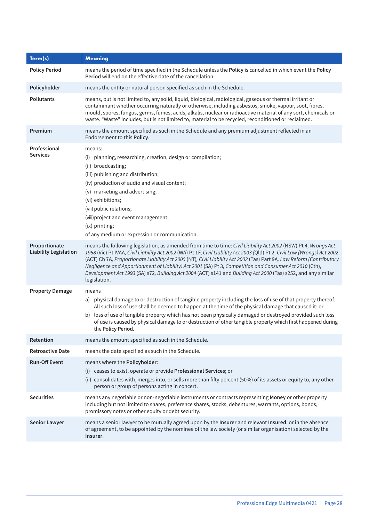| Term(s)                                       | <b>Meaning</b>                                                                                                                                                                                                                                                                                                                                                                                                                                                                                                                                                                                                  |
|-----------------------------------------------|-----------------------------------------------------------------------------------------------------------------------------------------------------------------------------------------------------------------------------------------------------------------------------------------------------------------------------------------------------------------------------------------------------------------------------------------------------------------------------------------------------------------------------------------------------------------------------------------------------------------|
| <b>Policy Period</b>                          | means the period of time specified in the Schedule unless the Policy is cancelled in which event the Policy<br>Period will end on the effective date of the cancellation.                                                                                                                                                                                                                                                                                                                                                                                                                                       |
| Policyholder                                  | means the entity or natural person specified as such in the Schedule.                                                                                                                                                                                                                                                                                                                                                                                                                                                                                                                                           |
| <b>Pollutants</b>                             | means, but is not limited to, any solid, liquid, biological, radiological, gaseous or thermal irritant or<br>contaminant whether occurring naturally or otherwise, including asbestos, smoke, vapour, soot, fibres,<br>mould, spores, fungus, germs, fumes, acids, alkalis, nuclear or radioactive material of any sort, chemicals or<br>waste. "Waste" includes, but is not limited to, material to be recycled, reconditioned or reclaimed.                                                                                                                                                                   |
| Premium                                       | means the amount specified as such in the Schedule and any premium adjustment reflected in an<br>Endorsement to this Policy.                                                                                                                                                                                                                                                                                                                                                                                                                                                                                    |
| Professional<br>Services                      | means:<br>planning, researching, creation, design or compilation;<br>(i)<br>(ii) broadcasting;<br>(iii) publishing and distribution;<br>(iv) production of audio and visual content;<br>(v) marketing and advertising;<br>(vi) exhibitions;<br>(vii) public relations;<br>(viii) project and event management;<br>(ix) printing;<br>of any medium or expression or communication.                                                                                                                                                                                                                               |
| Proportionate<br><b>Liability Legislation</b> | means the following legislation, as amended from time to time: Civil Liability Act 2002 (NSW) Pt 4, Wrongs Act<br>1958 (Vic) Pt IVAA, Civil Liability Act 2002 (WA) Pt 1F, Civil Liability Act 2003 (Qld) Pt 2, Civil Law (Wrongs) Act 2002<br>(ACT) Ch 7A, Proportionate Liability Act 2005 (NT), Civil Liability Act 2002 (Tas) Part 9A, Law Reform (Contributory<br>Negligence and Apportionment of Liability) Act 2001 (SA) Pt 3, Competition and Consumer Act 2010 (Cth),<br>Development Act 1993 (SA) s72, Building Act 2004 (ACT) s141 and Building Act 2000 (Tas) s252, and any similar<br>legislation. |
| <b>Property Damage</b>                        | means<br>a) physical damage to or destruction of tangible property including the loss of use of that property thereof.<br>All such loss of use shall be deemed to happen at the time of the physical damage that caused it; or<br>b) loss of use of tangible property which has not been physically damaged or destroyed provided such loss<br>of use is caused by physical damage to or destruction of other tangible property which first happened during<br>the Policy Period.                                                                                                                               |
| Retention                                     | means the amount specified as such in the Schedule.                                                                                                                                                                                                                                                                                                                                                                                                                                                                                                                                                             |
| <b>Retroactive Date</b>                       | means the date specified as such in the Schedule.                                                                                                                                                                                                                                                                                                                                                                                                                                                                                                                                                               |
| <b>Run-Off Event</b>                          | means where the Policyholder:<br>(i) ceases to exist, operate or provide Professional Services; or<br>(ii) consolidates with, merges into, or sells more than fifty percent (50%) of its assets or equity to, any other<br>person or group of persons acting in concert.                                                                                                                                                                                                                                                                                                                                        |
| <b>Securities</b>                             | means any negotiable or non-negotiable instruments or contracts representing Money or other property<br>including but not limited to shares, preference shares, stocks, debentures, warrants, options, bonds,<br>promissory notes or other equity or debt security.                                                                                                                                                                                                                                                                                                                                             |
| <b>Senior Lawyer</b>                          | means a senior lawyer to be mutually agreed upon by the Insurer and relevant Insured, or in the absence<br>of agreement, to be appointed by the nominee of the law society (or similar organisation) selected by the<br>Insurer.                                                                                                                                                                                                                                                                                                                                                                                |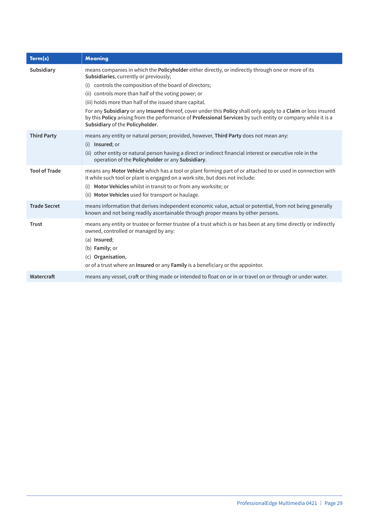| Term(s)              | <b>Meaning</b>                                                                                                                                                                                                                                                    |
|----------------------|-------------------------------------------------------------------------------------------------------------------------------------------------------------------------------------------------------------------------------------------------------------------|
| Subsidiary           | means companies in which the Policyholder either directly, or indirectly through one or more of its<br>Subsidiaries, currently or previously;                                                                                                                     |
|                      | controls the composition of the board of directors;<br>(i)                                                                                                                                                                                                        |
|                      | (ii) controls more than half of the voting power; or                                                                                                                                                                                                              |
|                      | (iii) holds more than half of the issued share capital.                                                                                                                                                                                                           |
|                      | For any Subsidiary or any Insured thereof, cover under this Policy shall only apply to a Claim or loss insured<br>by this Policy arising from the performance of Professional Services by such entity or company while it is a<br>Subsidiary of the Policyholder. |
| <b>Third Party</b>   | means any entity or natural person; provided, however, Third Party does not mean any:<br>(i) Insured; or                                                                                                                                                          |
|                      | (ii) other entity or natural person having a direct or indirect financial interest or executive role in the<br>operation of the Policyholder or any Subsidiary.                                                                                                   |
| <b>Tool of Trade</b> | means any Motor Vehicle which has a tool or plant forming part of or attached to or used in connection with<br>it while such tool or plant is engaged on a work site, but does not include:                                                                       |
|                      | Motor Vehicles whilst in transit to or from any worksite; or<br>(i)                                                                                                                                                                                               |
|                      | (ii) Motor Vehicles used for transport or haulage.                                                                                                                                                                                                                |
| <b>Trade Secret</b>  | means information that derives independent economic value, actual or potential, from not being generally<br>known and not being readily ascertainable through proper means by other persons.                                                                      |
| <b>Trust</b>         | means any entity or trustee or former trustee of a trust which is or has been at any time directly or indirectly<br>owned, controlled or managed by any:<br>$(a)$ Insured;                                                                                        |
|                      | (b) Family; or                                                                                                                                                                                                                                                    |
|                      | (c) Organisation,                                                                                                                                                                                                                                                 |
|                      | or of a trust where an Insured or any Family is a beneficiary or the appointor.                                                                                                                                                                                   |
| Watercraft           | means any vessel, craft or thing made or intended to float on or in or travel on or through or under water.                                                                                                                                                       |